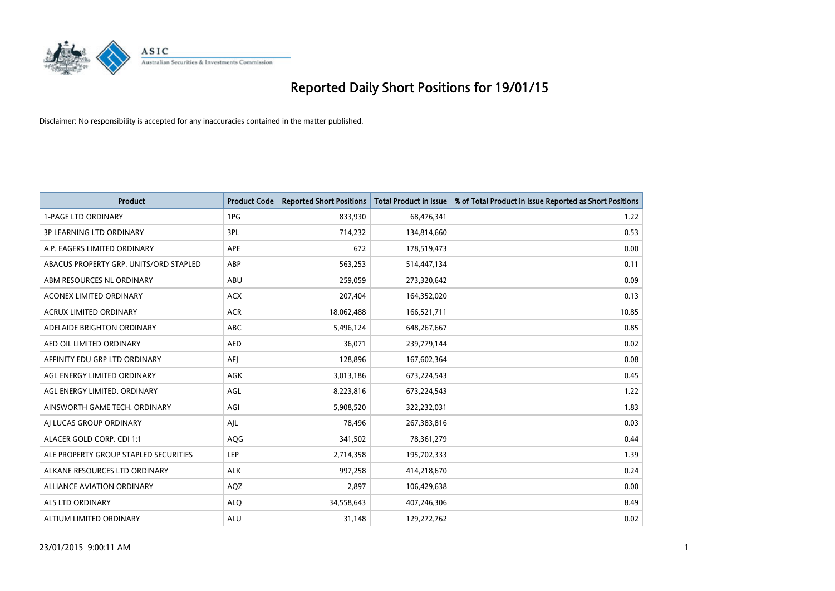

| <b>Product</b>                         | <b>Product Code</b> | <b>Reported Short Positions</b> | <b>Total Product in Issue</b> | % of Total Product in Issue Reported as Short Positions |
|----------------------------------------|---------------------|---------------------------------|-------------------------------|---------------------------------------------------------|
| <b>1-PAGE LTD ORDINARY</b>             | 1PG                 | 833,930                         | 68,476,341                    | 1.22                                                    |
| 3P LEARNING LTD ORDINARY               | 3PL                 | 714,232                         | 134,814,660                   | 0.53                                                    |
| A.P. EAGERS LIMITED ORDINARY           | <b>APE</b>          | 672                             | 178,519,473                   | 0.00                                                    |
| ABACUS PROPERTY GRP. UNITS/ORD STAPLED | ABP                 | 563,253                         | 514,447,134                   | 0.11                                                    |
| ABM RESOURCES NL ORDINARY              | ABU                 | 259,059                         | 273,320,642                   | 0.09                                                    |
| <b>ACONEX LIMITED ORDINARY</b>         | <b>ACX</b>          | 207,404                         | 164,352,020                   | 0.13                                                    |
| <b>ACRUX LIMITED ORDINARY</b>          | <b>ACR</b>          | 18,062,488                      | 166,521,711                   | 10.85                                                   |
| ADELAIDE BRIGHTON ORDINARY             | ABC                 | 5,496,124                       | 648,267,667                   | 0.85                                                    |
| AED OIL LIMITED ORDINARY               | <b>AED</b>          | 36,071                          | 239,779,144                   | 0.02                                                    |
| AFFINITY EDU GRP LTD ORDINARY          | AFI                 | 128,896                         | 167,602,364                   | 0.08                                                    |
| AGL ENERGY LIMITED ORDINARY            | AGK                 | 3,013,186                       | 673,224,543                   | 0.45                                                    |
| AGL ENERGY LIMITED. ORDINARY           | AGL                 | 8,223,816                       | 673,224,543                   | 1.22                                                    |
| AINSWORTH GAME TECH. ORDINARY          | AGI                 | 5,908,520                       | 322,232,031                   | 1.83                                                    |
| AI LUCAS GROUP ORDINARY                | AJL                 | 78,496                          | 267,383,816                   | 0.03                                                    |
| ALACER GOLD CORP. CDI 1:1              | AQG                 | 341,502                         | 78,361,279                    | 0.44                                                    |
| ALE PROPERTY GROUP STAPLED SECURITIES  | <b>LEP</b>          | 2,714,358                       | 195,702,333                   | 1.39                                                    |
| ALKANE RESOURCES LTD ORDINARY          | <b>ALK</b>          | 997,258                         | 414,218,670                   | 0.24                                                    |
| ALLIANCE AVIATION ORDINARY             | AQZ                 | 2,897                           | 106,429,638                   | 0.00                                                    |
| ALS LTD ORDINARY                       | <b>ALO</b>          | 34,558,643                      | 407,246,306                   | 8.49                                                    |
| ALTIUM LIMITED ORDINARY                | <b>ALU</b>          | 31,148                          | 129,272,762                   | 0.02                                                    |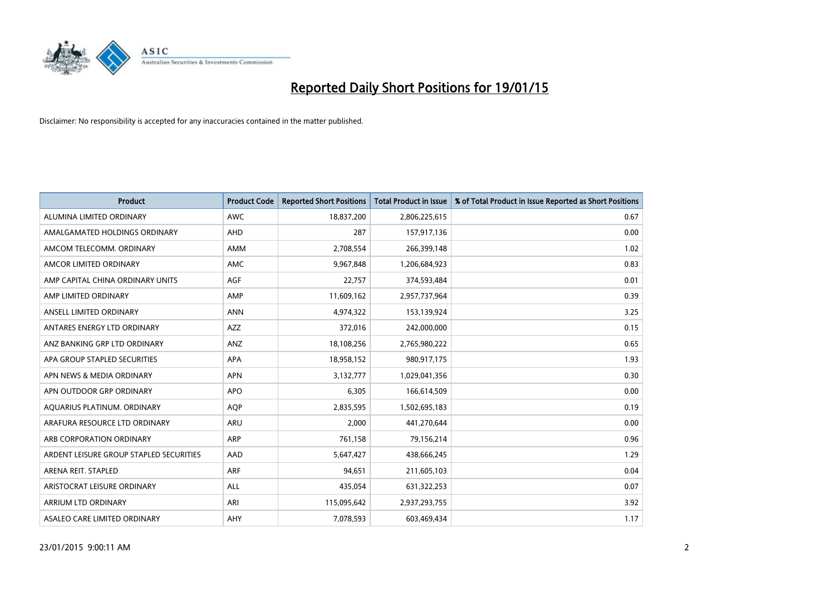

| <b>Product</b>                          | <b>Product Code</b> | <b>Reported Short Positions</b> | <b>Total Product in Issue</b> | % of Total Product in Issue Reported as Short Positions |
|-----------------------------------------|---------------------|---------------------------------|-------------------------------|---------------------------------------------------------|
| ALUMINA LIMITED ORDINARY                | <b>AWC</b>          | 18,837,200                      | 2,806,225,615                 | 0.67                                                    |
| AMALGAMATED HOLDINGS ORDINARY           | AHD                 | 287                             | 157,917,136                   | 0.00                                                    |
| AMCOM TELECOMM, ORDINARY                | AMM                 | 2,708,554                       | 266,399,148                   | 1.02                                                    |
| AMCOR LIMITED ORDINARY                  | AMC                 | 9,967,848                       | 1,206,684,923                 | 0.83                                                    |
| AMP CAPITAL CHINA ORDINARY UNITS        | AGF                 | 22,757                          | 374,593,484                   | 0.01                                                    |
| AMP LIMITED ORDINARY                    | AMP                 | 11,609,162                      | 2,957,737,964                 | 0.39                                                    |
| ANSELL LIMITED ORDINARY                 | <b>ANN</b>          | 4,974,322                       | 153,139,924                   | 3.25                                                    |
| ANTARES ENERGY LTD ORDINARY             | AZZ                 | 372,016                         | 242,000,000                   | 0.15                                                    |
| ANZ BANKING GRP LTD ORDINARY            | ANZ                 | 18,108,256                      | 2,765,980,222                 | 0.65                                                    |
| APA GROUP STAPLED SECURITIES            | <b>APA</b>          | 18,958,152                      | 980,917,175                   | 1.93                                                    |
| APN NEWS & MEDIA ORDINARY               | <b>APN</b>          | 3,132,777                       | 1,029,041,356                 | 0.30                                                    |
| APN OUTDOOR GRP ORDINARY                | <b>APO</b>          | 6,305                           | 166,614,509                   | 0.00                                                    |
| AQUARIUS PLATINUM. ORDINARY             | <b>AOP</b>          | 2,835,595                       | 1,502,695,183                 | 0.19                                                    |
| ARAFURA RESOURCE LTD ORDINARY           | ARU                 | 2,000                           | 441,270,644                   | 0.00                                                    |
| ARB CORPORATION ORDINARY                | ARP                 | 761,158                         | 79,156,214                    | 0.96                                                    |
| ARDENT LEISURE GROUP STAPLED SECURITIES | AAD                 | 5,647,427                       | 438,666,245                   | 1.29                                                    |
| ARENA REIT. STAPLED                     | <b>ARF</b>          | 94,651                          | 211,605,103                   | 0.04                                                    |
| ARISTOCRAT LEISURE ORDINARY             | <b>ALL</b>          | 435,054                         | 631,322,253                   | 0.07                                                    |
| ARRIUM LTD ORDINARY                     | ARI                 | 115,095,642                     | 2,937,293,755                 | 3.92                                                    |
| ASALEO CARE LIMITED ORDINARY            | AHY                 | 7,078,593                       | 603,469,434                   | 1.17                                                    |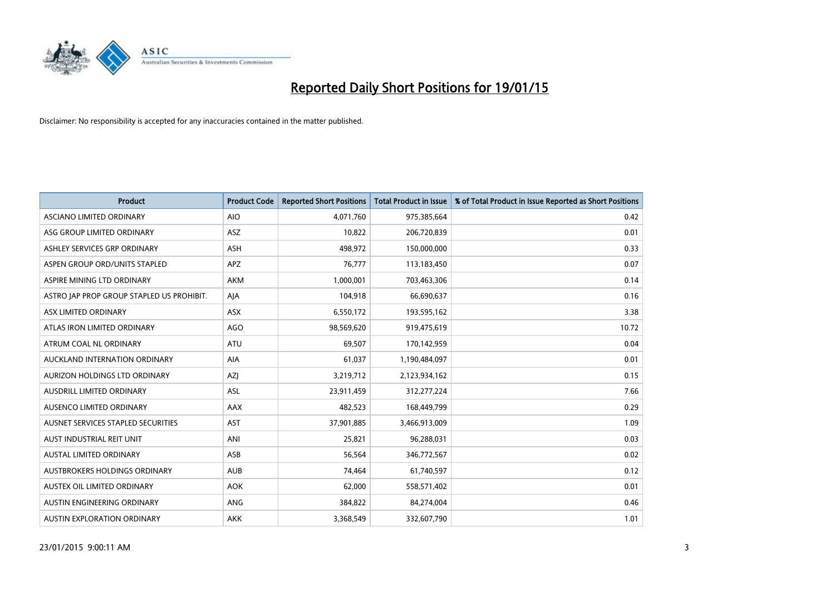

| <b>Product</b>                            | <b>Product Code</b> | <b>Reported Short Positions</b> | <b>Total Product in Issue</b> | % of Total Product in Issue Reported as Short Positions |
|-------------------------------------------|---------------------|---------------------------------|-------------------------------|---------------------------------------------------------|
| ASCIANO LIMITED ORDINARY                  | <b>AIO</b>          | 4,071,760                       | 975,385,664                   | 0.42                                                    |
| ASG GROUP LIMITED ORDINARY                | ASZ                 | 10,822                          | 206,720,839                   | 0.01                                                    |
| ASHLEY SERVICES GRP ORDINARY              | <b>ASH</b>          | 498,972                         | 150,000,000                   | 0.33                                                    |
| ASPEN GROUP ORD/UNITS STAPLED             | APZ                 | 76,777                          | 113,183,450                   | 0.07                                                    |
| ASPIRE MINING LTD ORDINARY                | <b>AKM</b>          | 1,000,001                       | 703,463,306                   | 0.14                                                    |
| ASTRO JAP PROP GROUP STAPLED US PROHIBIT. | AJA                 | 104,918                         | 66,690,637                    | 0.16                                                    |
| ASX LIMITED ORDINARY                      | ASX                 | 6,550,172                       | 193,595,162                   | 3.38                                                    |
| ATLAS IRON LIMITED ORDINARY               | <b>AGO</b>          | 98,569,620                      | 919,475,619                   | 10.72                                                   |
| ATRUM COAL NL ORDINARY                    | <b>ATU</b>          | 69,507                          | 170,142,959                   | 0.04                                                    |
| AUCKLAND INTERNATION ORDINARY             | <b>AIA</b>          | 61,037                          | 1,190,484,097                 | 0.01                                                    |
| AURIZON HOLDINGS LTD ORDINARY             | AZJ                 | 3,219,712                       | 2,123,934,162                 | 0.15                                                    |
| AUSDRILL LIMITED ORDINARY                 | ASL                 | 23,911,459                      | 312,277,224                   | 7.66                                                    |
| AUSENCO LIMITED ORDINARY                  | AAX                 | 482,523                         | 168,449,799                   | 0.29                                                    |
| AUSNET SERVICES STAPLED SECURITIES        | AST                 | 37,901,885                      | 3,466,913,009                 | 1.09                                                    |
| AUST INDUSTRIAL REIT UNIT                 | ANI                 | 25,821                          | 96,288,031                    | 0.03                                                    |
| AUSTAL LIMITED ORDINARY                   | ASB                 | 56,564                          | 346,772,567                   | 0.02                                                    |
| AUSTBROKERS HOLDINGS ORDINARY             | <b>AUB</b>          | 74,464                          | 61,740,597                    | 0.12                                                    |
| AUSTEX OIL LIMITED ORDINARY               | <b>AOK</b>          | 62,000                          | 558,571,402                   | 0.01                                                    |
| AUSTIN ENGINEERING ORDINARY               | ANG                 | 384,822                         | 84,274,004                    | 0.46                                                    |
| <b>AUSTIN EXPLORATION ORDINARY</b>        | <b>AKK</b>          | 3,368,549                       | 332,607,790                   | 1.01                                                    |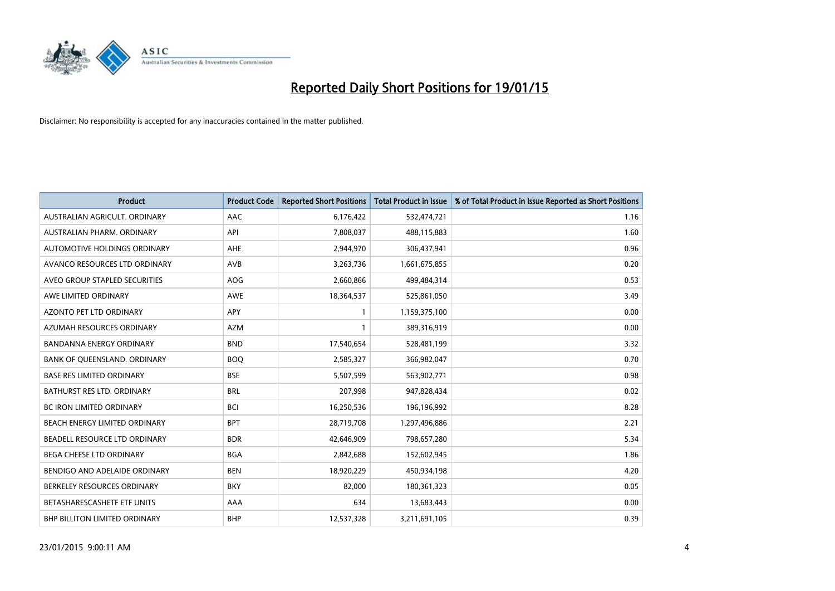

| <b>Product</b>                    | <b>Product Code</b> | <b>Reported Short Positions</b> | <b>Total Product in Issue</b> | % of Total Product in Issue Reported as Short Positions |
|-----------------------------------|---------------------|---------------------------------|-------------------------------|---------------------------------------------------------|
| AUSTRALIAN AGRICULT, ORDINARY     | AAC                 | 6,176,422                       | 532,474,721                   | 1.16                                                    |
| AUSTRALIAN PHARM. ORDINARY        | API                 | 7,808,037                       | 488,115,883                   | 1.60                                                    |
| AUTOMOTIVE HOLDINGS ORDINARY      | AHE                 | 2,944,970                       | 306,437,941                   | 0.96                                                    |
| AVANCO RESOURCES LTD ORDINARY     | AVB                 | 3,263,736                       | 1,661,675,855                 | 0.20                                                    |
| AVEO GROUP STAPLED SECURITIES     | AOG                 | 2,660,866                       | 499,484,314                   | 0.53                                                    |
| AWE LIMITED ORDINARY              | <b>AWE</b>          | 18,364,537                      | 525,861,050                   | 3.49                                                    |
| AZONTO PET LTD ORDINARY           | <b>APY</b>          | $\mathbf{1}$                    | 1,159,375,100                 | 0.00                                                    |
| AZUMAH RESOURCES ORDINARY         | <b>AZM</b>          | $\mathbf{1}$                    | 389,316,919                   | 0.00                                                    |
| <b>BANDANNA ENERGY ORDINARY</b>   | <b>BND</b>          | 17,540,654                      | 528,481,199                   | 3.32                                                    |
| BANK OF QUEENSLAND. ORDINARY      | <b>BOQ</b>          | 2,585,327                       | 366,982,047                   | 0.70                                                    |
| <b>BASE RES LIMITED ORDINARY</b>  | <b>BSE</b>          | 5,507,599                       | 563,902,771                   | 0.98                                                    |
| <b>BATHURST RES LTD. ORDINARY</b> | <b>BRL</b>          | 207,998                         | 947,828,434                   | 0.02                                                    |
| <b>BC IRON LIMITED ORDINARY</b>   | <b>BCI</b>          | 16,250,536                      | 196,196,992                   | 8.28                                                    |
| BEACH ENERGY LIMITED ORDINARY     | <b>BPT</b>          | 28,719,708                      | 1,297,496,886                 | 2.21                                                    |
| BEADELL RESOURCE LTD ORDINARY     | <b>BDR</b>          | 42,646,909                      | 798,657,280                   | 5.34                                                    |
| BEGA CHEESE LTD ORDINARY          | <b>BGA</b>          | 2,842,688                       | 152,602,945                   | 1.86                                                    |
| BENDIGO AND ADELAIDE ORDINARY     | <b>BEN</b>          | 18,920,229                      | 450,934,198                   | 4.20                                                    |
| BERKELEY RESOURCES ORDINARY       | <b>BKY</b>          | 82,000                          | 180,361,323                   | 0.05                                                    |
| BETASHARESCASHETF ETF UNITS       | AAA                 | 634                             | 13,683,443                    | 0.00                                                    |
| BHP BILLITON LIMITED ORDINARY     | <b>BHP</b>          | 12,537,328                      | 3,211,691,105                 | 0.39                                                    |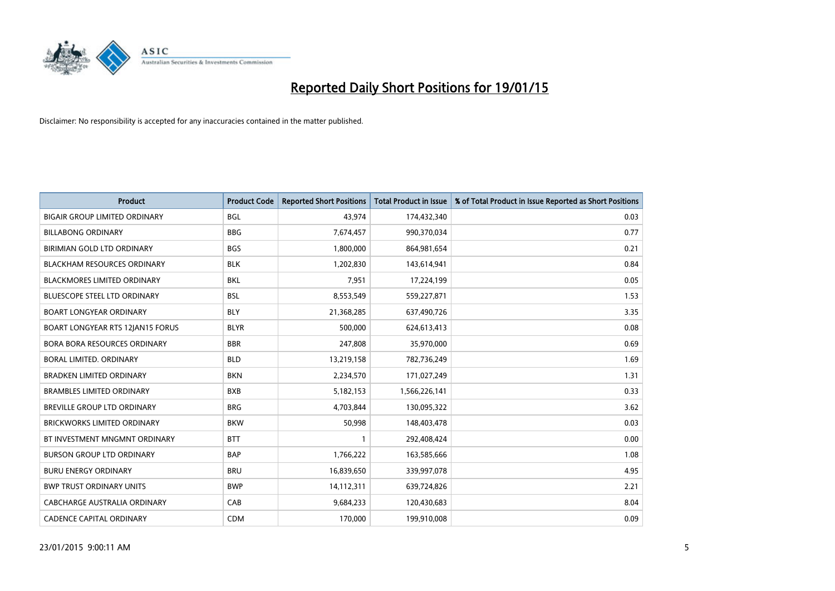

| <b>Product</b>                          | <b>Product Code</b> | <b>Reported Short Positions</b> | Total Product in Issue | % of Total Product in Issue Reported as Short Positions |
|-----------------------------------------|---------------------|---------------------------------|------------------------|---------------------------------------------------------|
| <b>BIGAIR GROUP LIMITED ORDINARY</b>    | <b>BGL</b>          | 43,974                          | 174,432,340            | 0.03                                                    |
| <b>BILLABONG ORDINARY</b>               | <b>BBG</b>          | 7,674,457                       | 990,370,034            | 0.77                                                    |
| BIRIMIAN GOLD LTD ORDINARY              | <b>BGS</b>          | 1,800,000                       | 864,981,654            | 0.21                                                    |
| <b>BLACKHAM RESOURCES ORDINARY</b>      | <b>BLK</b>          | 1,202,830                       | 143,614,941            | 0.84                                                    |
| <b>BLACKMORES LIMITED ORDINARY</b>      | <b>BKL</b>          | 7,951                           | 17,224,199             | 0.05                                                    |
| <b>BLUESCOPE STEEL LTD ORDINARY</b>     | <b>BSL</b>          | 8,553,549                       | 559,227,871            | 1.53                                                    |
| <b>BOART LONGYEAR ORDINARY</b>          | <b>BLY</b>          | 21,368,285                      | 637,490,726            | 3.35                                                    |
| <b>BOART LONGYEAR RTS 12JAN15 FORUS</b> | <b>BLYR</b>         | 500,000                         | 624,613,413            | 0.08                                                    |
| BORA BORA RESOURCES ORDINARY            | <b>BBR</b>          | 247,808                         | 35,970,000             | 0.69                                                    |
| <b>BORAL LIMITED, ORDINARY</b>          | <b>BLD</b>          | 13,219,158                      | 782,736,249            | 1.69                                                    |
| <b>BRADKEN LIMITED ORDINARY</b>         | <b>BKN</b>          | 2,234,570                       | 171,027,249            | 1.31                                                    |
| <b>BRAMBLES LIMITED ORDINARY</b>        | <b>BXB</b>          | 5,182,153                       | 1,566,226,141          | 0.33                                                    |
| BREVILLE GROUP LTD ORDINARY             | <b>BRG</b>          | 4,703,844                       | 130,095,322            | 3.62                                                    |
| <b>BRICKWORKS LIMITED ORDINARY</b>      | <b>BKW</b>          | 50,998                          | 148,403,478            | 0.03                                                    |
| BT INVESTMENT MNGMNT ORDINARY           | <b>BTT</b>          | $\mathbf{1}$                    | 292,408,424            | 0.00                                                    |
| <b>BURSON GROUP LTD ORDINARY</b>        | <b>BAP</b>          | 1,766,222                       | 163,585,666            | 1.08                                                    |
| <b>BURU ENERGY ORDINARY</b>             | <b>BRU</b>          | 16,839,650                      | 339,997,078            | 4.95                                                    |
| <b>BWP TRUST ORDINARY UNITS</b>         | <b>BWP</b>          | 14,112,311                      | 639,724,826            | 2.21                                                    |
| CABCHARGE AUSTRALIA ORDINARY            | CAB                 | 9,684,233                       | 120,430,683            | 8.04                                                    |
| <b>CADENCE CAPITAL ORDINARY</b>         | <b>CDM</b>          | 170,000                         | 199,910,008            | 0.09                                                    |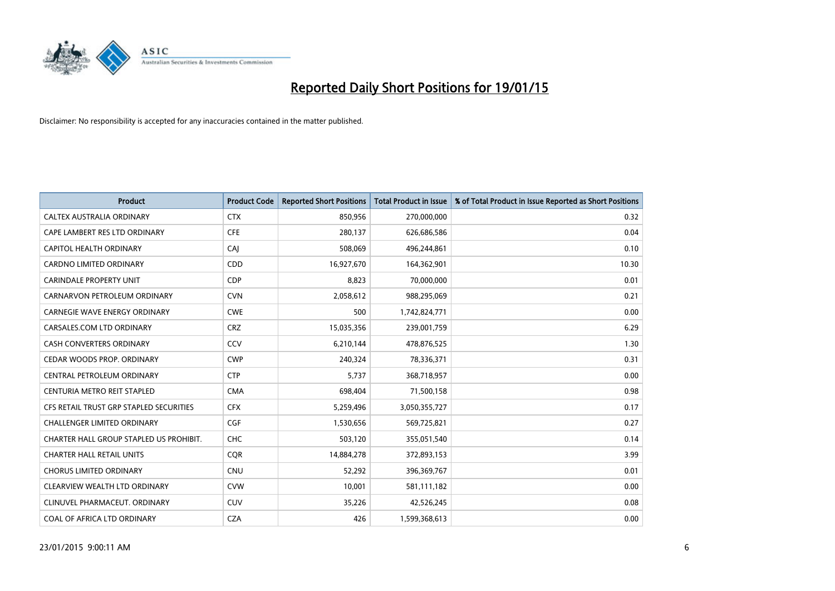

| <b>Product</b>                          | <b>Product Code</b> | <b>Reported Short Positions</b> | <b>Total Product in Issue</b> | % of Total Product in Issue Reported as Short Positions |
|-----------------------------------------|---------------------|---------------------------------|-------------------------------|---------------------------------------------------------|
| CALTEX AUSTRALIA ORDINARY               | <b>CTX</b>          | 850,956                         | 270,000,000                   | 0.32                                                    |
| CAPE LAMBERT RES LTD ORDINARY           | <b>CFE</b>          | 280,137                         | 626,686,586                   | 0.04                                                    |
| CAPITOL HEALTH ORDINARY                 | CAJ                 | 508,069                         | 496,244,861                   | 0.10                                                    |
| CARDNO LIMITED ORDINARY                 | CDD                 | 16,927,670                      | 164,362,901                   | 10.30                                                   |
| <b>CARINDALE PROPERTY UNIT</b>          | <b>CDP</b>          | 8,823                           | 70,000,000                    | 0.01                                                    |
| CARNARVON PETROLEUM ORDINARY            | <b>CVN</b>          | 2,058,612                       | 988,295,069                   | 0.21                                                    |
| CARNEGIE WAVE ENERGY ORDINARY           | <b>CWE</b>          | 500                             | 1,742,824,771                 | 0.00                                                    |
| CARSALES.COM LTD ORDINARY               | <b>CRZ</b>          | 15,035,356                      | 239,001,759                   | 6.29                                                    |
| <b>CASH CONVERTERS ORDINARY</b>         | CCV                 | 6,210,144                       | 478,876,525                   | 1.30                                                    |
| CEDAR WOODS PROP. ORDINARY              | <b>CWP</b>          | 240,324                         | 78,336,371                    | 0.31                                                    |
| CENTRAL PETROLEUM ORDINARY              | <b>CTP</b>          | 5,737                           | 368,718,957                   | 0.00                                                    |
| CENTURIA METRO REIT STAPLED             | <b>CMA</b>          | 698,404                         | 71,500,158                    | 0.98                                                    |
| CFS RETAIL TRUST GRP STAPLED SECURITIES | <b>CFX</b>          | 5,259,496                       | 3,050,355,727                 | 0.17                                                    |
| <b>CHALLENGER LIMITED ORDINARY</b>      | <b>CGF</b>          | 1,530,656                       | 569,725,821                   | 0.27                                                    |
| CHARTER HALL GROUP STAPLED US PROHIBIT. | CHC                 | 503,120                         | 355,051,540                   | 0.14                                                    |
| <b>CHARTER HALL RETAIL UNITS</b>        | <b>CQR</b>          | 14,884,278                      | 372,893,153                   | 3.99                                                    |
| <b>CHORUS LIMITED ORDINARY</b>          | <b>CNU</b>          | 52,292                          | 396,369,767                   | 0.01                                                    |
| CLEARVIEW WEALTH LTD ORDINARY           | <b>CVW</b>          | 10,001                          | 581,111,182                   | 0.00                                                    |
| CLINUVEL PHARMACEUT, ORDINARY           | <b>CUV</b>          | 35,226                          | 42,526,245                    | 0.08                                                    |
| COAL OF AFRICA LTD ORDINARY             | <b>CZA</b>          | 426                             | 1,599,368,613                 | 0.00                                                    |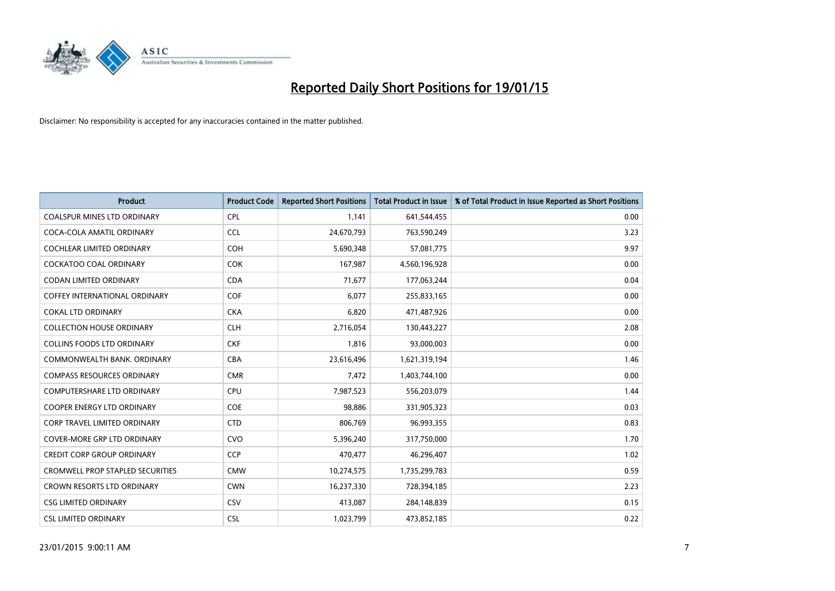

| <b>Product</b>                          | <b>Product Code</b> | <b>Reported Short Positions</b> | <b>Total Product in Issue</b> | % of Total Product in Issue Reported as Short Positions |
|-----------------------------------------|---------------------|---------------------------------|-------------------------------|---------------------------------------------------------|
| <b>COALSPUR MINES LTD ORDINARY</b>      | <b>CPL</b>          | 1,141                           | 641,544,455                   | 0.00                                                    |
| COCA-COLA AMATIL ORDINARY               | <b>CCL</b>          | 24,670,793                      | 763,590,249                   | 3.23                                                    |
| <b>COCHLEAR LIMITED ORDINARY</b>        | <b>COH</b>          | 5,690,348                       | 57,081,775                    | 9.97                                                    |
| <b>COCKATOO COAL ORDINARY</b>           | <b>COK</b>          | 167,987                         | 4,560,196,928                 | 0.00                                                    |
| <b>CODAN LIMITED ORDINARY</b>           | <b>CDA</b>          | 71,677                          | 177,063,244                   | 0.04                                                    |
| <b>COFFEY INTERNATIONAL ORDINARY</b>    | COF                 | 6,077                           | 255,833,165                   | 0.00                                                    |
| <b>COKAL LTD ORDINARY</b>               | <b>CKA</b>          | 6,820                           | 471,487,926                   | 0.00                                                    |
| <b>COLLECTION HOUSE ORDINARY</b>        | <b>CLH</b>          | 2,716,054                       | 130,443,227                   | 2.08                                                    |
| <b>COLLINS FOODS LTD ORDINARY</b>       | <b>CKF</b>          | 1,816                           | 93,000,003                    | 0.00                                                    |
| COMMONWEALTH BANK, ORDINARY             | <b>CBA</b>          | 23,616,496                      | 1,621,319,194                 | 1.46                                                    |
| <b>COMPASS RESOURCES ORDINARY</b>       | <b>CMR</b>          | 7,472                           | 1,403,744,100                 | 0.00                                                    |
| <b>COMPUTERSHARE LTD ORDINARY</b>       | <b>CPU</b>          | 7,987,523                       | 556,203,079                   | 1.44                                                    |
| COOPER ENERGY LTD ORDINARY              | <b>COE</b>          | 98,886                          | 331,905,323                   | 0.03                                                    |
| <b>CORP TRAVEL LIMITED ORDINARY</b>     | <b>CTD</b>          | 806,769                         | 96,993,355                    | 0.83                                                    |
| <b>COVER-MORE GRP LTD ORDINARY</b>      | <b>CVO</b>          | 5,396,240                       | 317,750,000                   | 1.70                                                    |
| <b>CREDIT CORP GROUP ORDINARY</b>       | <b>CCP</b>          | 470,477                         | 46,296,407                    | 1.02                                                    |
| <b>CROMWELL PROP STAPLED SECURITIES</b> | <b>CMW</b>          | 10,274,575                      | 1,735,299,783                 | 0.59                                                    |
| CROWN RESORTS LTD ORDINARY              | <b>CWN</b>          | 16,237,330                      | 728,394,185                   | 2.23                                                    |
| <b>CSG LIMITED ORDINARY</b>             | CSV                 | 413,087                         | 284,148,839                   | 0.15                                                    |
| <b>CSL LIMITED ORDINARY</b>             | <b>CSL</b>          | 1,023,799                       | 473,852,185                   | 0.22                                                    |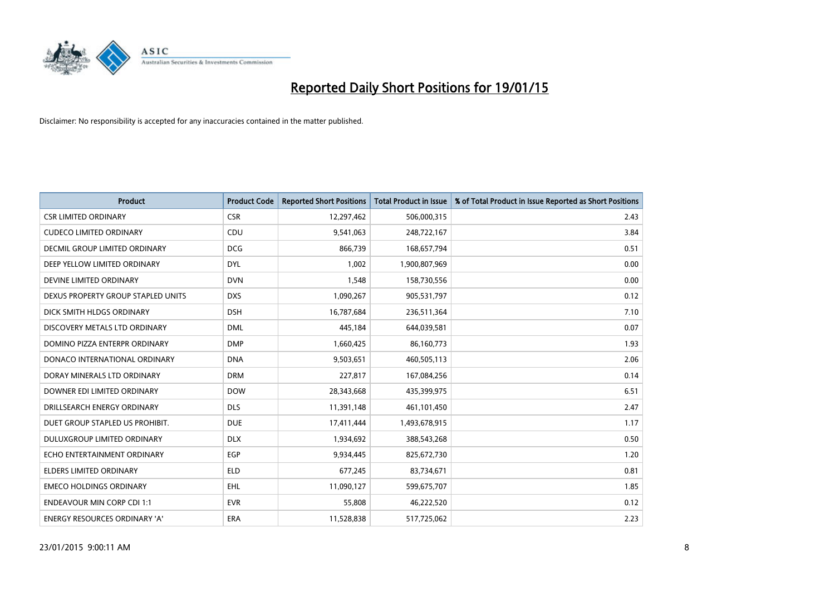

| <b>Product</b>                     | <b>Product Code</b> | <b>Reported Short Positions</b> | <b>Total Product in Issue</b> | % of Total Product in Issue Reported as Short Positions |
|------------------------------------|---------------------|---------------------------------|-------------------------------|---------------------------------------------------------|
| <b>CSR LIMITED ORDINARY</b>        | <b>CSR</b>          | 12,297,462                      | 506,000,315                   | 2.43                                                    |
| <b>CUDECO LIMITED ORDINARY</b>     | <b>CDU</b>          | 9,541,063                       | 248,722,167                   | 3.84                                                    |
| DECMIL GROUP LIMITED ORDINARY      | <b>DCG</b>          | 866,739                         | 168,657,794                   | 0.51                                                    |
| DEEP YELLOW LIMITED ORDINARY       | <b>DYL</b>          | 1,002                           | 1,900,807,969                 | 0.00                                                    |
| DEVINE LIMITED ORDINARY            | <b>DVN</b>          | 1,548                           | 158,730,556                   | 0.00                                                    |
| DEXUS PROPERTY GROUP STAPLED UNITS | <b>DXS</b>          | 1,090,267                       | 905,531,797                   | 0.12                                                    |
| DICK SMITH HLDGS ORDINARY          | <b>DSH</b>          | 16,787,684                      | 236,511,364                   | 7.10                                                    |
| DISCOVERY METALS LTD ORDINARY      | <b>DML</b>          | 445,184                         | 644,039,581                   | 0.07                                                    |
| DOMINO PIZZA ENTERPR ORDINARY      | <b>DMP</b>          | 1,660,425                       | 86,160,773                    | 1.93                                                    |
| DONACO INTERNATIONAL ORDINARY      | <b>DNA</b>          | 9,503,651                       | 460,505,113                   | 2.06                                                    |
| DORAY MINERALS LTD ORDINARY        | <b>DRM</b>          | 227,817                         | 167,084,256                   | 0.14                                                    |
| DOWNER EDI LIMITED ORDINARY        | <b>DOW</b>          | 28,343,668                      | 435,399,975                   | 6.51                                                    |
| DRILLSEARCH ENERGY ORDINARY        | <b>DLS</b>          | 11,391,148                      | 461,101,450                   | 2.47                                                    |
| DUET GROUP STAPLED US PROHIBIT.    | <b>DUE</b>          | 17,411,444                      | 1,493,678,915                 | 1.17                                                    |
| DULUXGROUP LIMITED ORDINARY        | <b>DLX</b>          | 1,934,692                       | 388,543,268                   | 0.50                                                    |
| ECHO ENTERTAINMENT ORDINARY        | <b>EGP</b>          | 9,934,445                       | 825,672,730                   | 1.20                                                    |
| ELDERS LIMITED ORDINARY            | <b>ELD</b>          | 677,245                         | 83,734,671                    | 0.81                                                    |
| <b>EMECO HOLDINGS ORDINARY</b>     | <b>EHL</b>          | 11,090,127                      | 599,675,707                   | 1.85                                                    |
| <b>ENDEAVOUR MIN CORP CDI 1:1</b>  | <b>EVR</b>          | 55,808                          | 46,222,520                    | 0.12                                                    |
| ENERGY RESOURCES ORDINARY 'A'      | ERA                 | 11,528,838                      | 517,725,062                   | 2.23                                                    |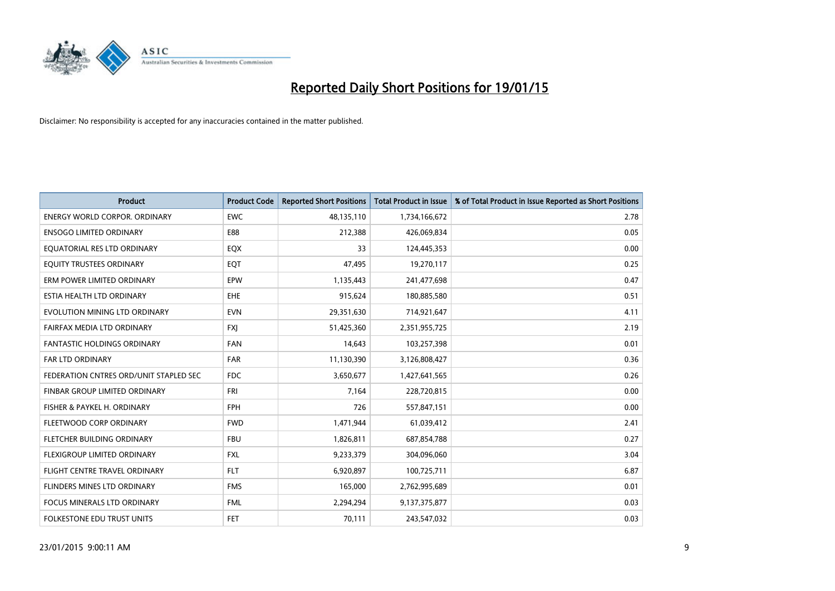

| <b>Product</b>                         | <b>Product Code</b> | <b>Reported Short Positions</b> | <b>Total Product in Issue</b> | % of Total Product in Issue Reported as Short Positions |
|----------------------------------------|---------------------|---------------------------------|-------------------------------|---------------------------------------------------------|
| <b>ENERGY WORLD CORPOR, ORDINARY</b>   | <b>EWC</b>          | 48,135,110                      | 1,734,166,672                 | 2.78                                                    |
| <b>ENSOGO LIMITED ORDINARY</b>         | E88                 | 212,388                         | 426,069,834                   | 0.05                                                    |
| EQUATORIAL RES LTD ORDINARY            | EQX                 | 33                              | 124,445,353                   | 0.00                                                    |
| EQUITY TRUSTEES ORDINARY               | EQT                 | 47,495                          | 19,270,117                    | 0.25                                                    |
| ERM POWER LIMITED ORDINARY             | EPW                 | 1,135,443                       | 241,477,698                   | 0.47                                                    |
| ESTIA HEALTH LTD ORDINARY              | <b>EHE</b>          | 915,624                         | 180,885,580                   | 0.51                                                    |
| EVOLUTION MINING LTD ORDINARY          | <b>EVN</b>          | 29,351,630                      | 714,921,647                   | 4.11                                                    |
| FAIRFAX MEDIA LTD ORDINARY             | <b>FXJ</b>          | 51,425,360                      | 2,351,955,725                 | 2.19                                                    |
| <b>FANTASTIC HOLDINGS ORDINARY</b>     | <b>FAN</b>          | 14,643                          | 103,257,398                   | 0.01                                                    |
| FAR LTD ORDINARY                       | <b>FAR</b>          | 11,130,390                      | 3,126,808,427                 | 0.36                                                    |
| FEDERATION CNTRES ORD/UNIT STAPLED SEC | <b>FDC</b>          | 3,650,677                       | 1,427,641,565                 | 0.26                                                    |
| FINBAR GROUP LIMITED ORDINARY          | <b>FRI</b>          | 7.164                           | 228,720,815                   | 0.00                                                    |
| FISHER & PAYKEL H. ORDINARY            | <b>FPH</b>          | 726                             | 557,847,151                   | 0.00                                                    |
| FLEETWOOD CORP ORDINARY                | <b>FWD</b>          | 1,471,944                       | 61,039,412                    | 2.41                                                    |
| FLETCHER BUILDING ORDINARY             | <b>FBU</b>          | 1,826,811                       | 687,854,788                   | 0.27                                                    |
| <b>FLEXIGROUP LIMITED ORDINARY</b>     | <b>FXL</b>          | 9,233,379                       | 304,096,060                   | 3.04                                                    |
| FLIGHT CENTRE TRAVEL ORDINARY          | <b>FLT</b>          | 6,920,897                       | 100,725,711                   | 6.87                                                    |
| FLINDERS MINES LTD ORDINARY            | <b>FMS</b>          | 165,000                         | 2,762,995,689                 | 0.01                                                    |
| <b>FOCUS MINERALS LTD ORDINARY</b>     | <b>FML</b>          | 2,294,294                       | 9,137,375,877                 | 0.03                                                    |
| FOLKESTONE EDU TRUST UNITS             | <b>FET</b>          | 70,111                          | 243,547,032                   | 0.03                                                    |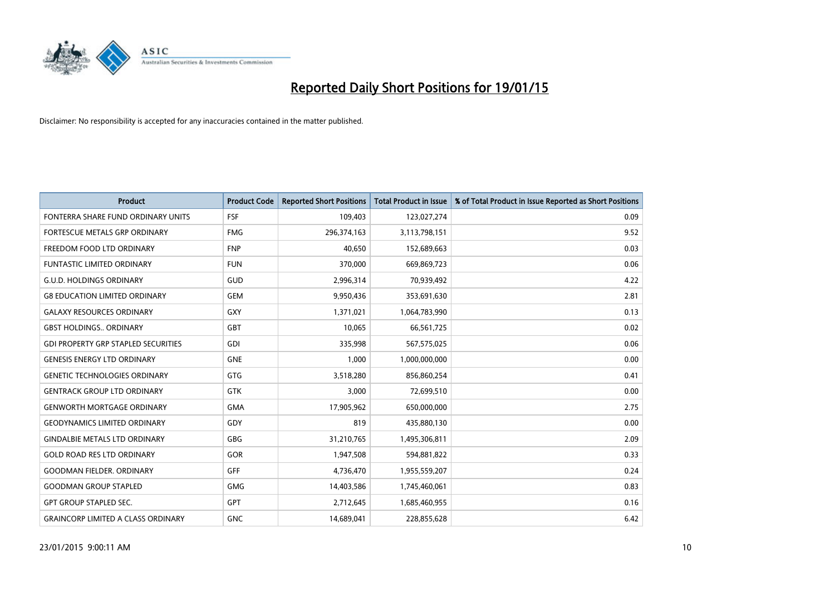

| <b>Product</b>                             | <b>Product Code</b> | <b>Reported Short Positions</b> | <b>Total Product in Issue</b> | % of Total Product in Issue Reported as Short Positions |
|--------------------------------------------|---------------------|---------------------------------|-------------------------------|---------------------------------------------------------|
| FONTERRA SHARE FUND ORDINARY UNITS         | <b>FSF</b>          | 109,403                         | 123,027,274                   | 0.09                                                    |
| FORTESCUE METALS GRP ORDINARY              | <b>FMG</b>          | 296,374,163                     | 3,113,798,151                 | 9.52                                                    |
| FREEDOM FOOD LTD ORDINARY                  | <b>FNP</b>          | 40,650                          | 152,689,663                   | 0.03                                                    |
| <b>FUNTASTIC LIMITED ORDINARY</b>          | <b>FUN</b>          | 370,000                         | 669,869,723                   | 0.06                                                    |
| <b>G.U.D. HOLDINGS ORDINARY</b>            | GUD                 | 2,996,314                       | 70,939,492                    | 4.22                                                    |
| <b>G8 EDUCATION LIMITED ORDINARY</b>       | <b>GEM</b>          | 9,950,436                       | 353,691,630                   | 2.81                                                    |
| <b>GALAXY RESOURCES ORDINARY</b>           | GXY                 | 1,371,021                       | 1,064,783,990                 | 0.13                                                    |
| <b>GBST HOLDINGS ORDINARY</b>              | GBT                 | 10,065                          | 66,561,725                    | 0.02                                                    |
| <b>GDI PROPERTY GRP STAPLED SECURITIES</b> | GDI                 | 335,998                         | 567,575,025                   | 0.06                                                    |
| <b>GENESIS ENERGY LTD ORDINARY</b>         | <b>GNE</b>          | 1,000                           | 1,000,000,000                 | 0.00                                                    |
| <b>GENETIC TECHNOLOGIES ORDINARY</b>       | GTG                 | 3,518,280                       | 856,860,254                   | 0.41                                                    |
| <b>GENTRACK GROUP LTD ORDINARY</b>         | GTK                 | 3,000                           | 72,699,510                    | 0.00                                                    |
| <b>GENWORTH MORTGAGE ORDINARY</b>          | <b>GMA</b>          | 17,905,962                      | 650,000,000                   | 2.75                                                    |
| <b>GEODYNAMICS LIMITED ORDINARY</b>        | GDY                 | 819                             | 435,880,130                   | 0.00                                                    |
| <b>GINDALBIE METALS LTD ORDINARY</b>       | GBG                 | 31,210,765                      | 1,495,306,811                 | 2.09                                                    |
| <b>GOLD ROAD RES LTD ORDINARY</b>          | GOR                 | 1,947,508                       | 594,881,822                   | 0.33                                                    |
| <b>GOODMAN FIELDER. ORDINARY</b>           | <b>GFF</b>          | 4,736,470                       | 1,955,559,207                 | 0.24                                                    |
| <b>GOODMAN GROUP STAPLED</b>               | <b>GMG</b>          | 14,403,586                      | 1,745,460,061                 | 0.83                                                    |
| <b>GPT GROUP STAPLED SEC.</b>              | <b>GPT</b>          | 2,712,645                       | 1,685,460,955                 | 0.16                                                    |
| <b>GRAINCORP LIMITED A CLASS ORDINARY</b>  | <b>GNC</b>          | 14,689,041                      | 228,855,628                   | 6.42                                                    |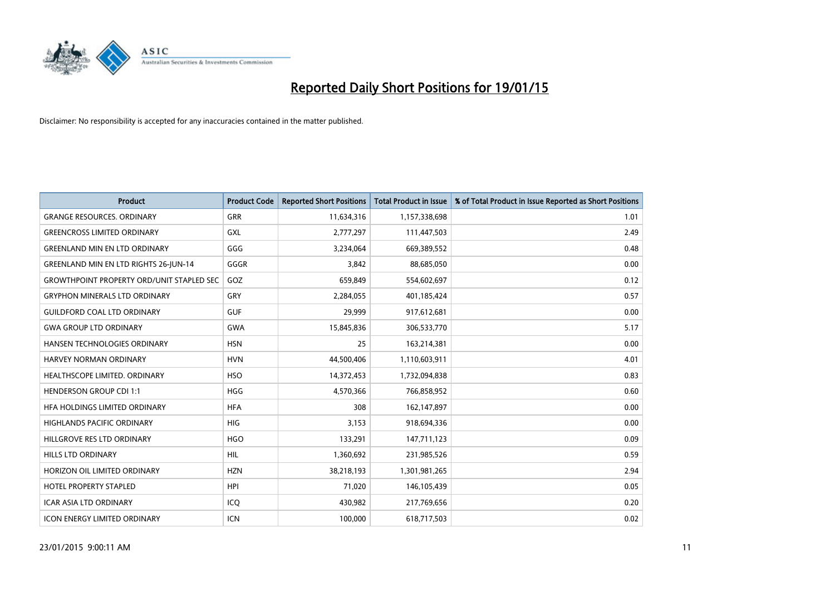

| <b>Product</b>                                   | <b>Product Code</b> | <b>Reported Short Positions</b> | <b>Total Product in Issue</b> | % of Total Product in Issue Reported as Short Positions |
|--------------------------------------------------|---------------------|---------------------------------|-------------------------------|---------------------------------------------------------|
| <b>GRANGE RESOURCES, ORDINARY</b>                | <b>GRR</b>          | 11,634,316                      | 1,157,338,698                 | 1.01                                                    |
| <b>GREENCROSS LIMITED ORDINARY</b>               | <b>GXL</b>          | 2,777,297                       | 111,447,503                   | 2.49                                                    |
| <b>GREENLAND MIN EN LTD ORDINARY</b>             | GGG                 | 3,234,064                       | 669,389,552                   | 0.48                                                    |
| <b>GREENLAND MIN EN LTD RIGHTS 26-JUN-14</b>     | GGGR                | 3.842                           | 88,685,050                    | 0.00                                                    |
| <b>GROWTHPOINT PROPERTY ORD/UNIT STAPLED SEC</b> | GOZ                 | 659,849                         | 554,602,697                   | 0.12                                                    |
| <b>GRYPHON MINERALS LTD ORDINARY</b>             | GRY                 | 2,284,055                       | 401,185,424                   | 0.57                                                    |
| <b>GUILDFORD COAL LTD ORDINARY</b>               | <b>GUF</b>          | 29,999                          | 917,612,681                   | 0.00                                                    |
| <b>GWA GROUP LTD ORDINARY</b>                    | <b>GWA</b>          | 15,845,836                      | 306,533,770                   | 5.17                                                    |
| HANSEN TECHNOLOGIES ORDINARY                     | <b>HSN</b>          | 25                              | 163,214,381                   | 0.00                                                    |
| <b>HARVEY NORMAN ORDINARY</b>                    | <b>HVN</b>          | 44,500,406                      | 1,110,603,911                 | 4.01                                                    |
| HEALTHSCOPE LIMITED. ORDINARY                    | <b>HSO</b>          | 14,372,453                      | 1,732,094,838                 | 0.83                                                    |
| <b>HENDERSON GROUP CDI 1:1</b>                   | <b>HGG</b>          | 4,570,366                       | 766,858,952                   | 0.60                                                    |
| HFA HOLDINGS LIMITED ORDINARY                    | <b>HFA</b>          | 308                             | 162,147,897                   | 0.00                                                    |
| <b>HIGHLANDS PACIFIC ORDINARY</b>                | <b>HIG</b>          | 3,153                           | 918,694,336                   | 0.00                                                    |
| HILLGROVE RES LTD ORDINARY                       | <b>HGO</b>          | 133,291                         | 147,711,123                   | 0.09                                                    |
| <b>HILLS LTD ORDINARY</b>                        | HIL                 | 1,360,692                       | 231,985,526                   | 0.59                                                    |
| HORIZON OIL LIMITED ORDINARY                     | <b>HZN</b>          | 38,218,193                      | 1,301,981,265                 | 2.94                                                    |
| <b>HOTEL PROPERTY STAPLED</b>                    | <b>HPI</b>          | 71,020                          | 146, 105, 439                 | 0.05                                                    |
| <b>ICAR ASIA LTD ORDINARY</b>                    | ICQ                 | 430,982                         | 217,769,656                   | 0.20                                                    |
| <b>ICON ENERGY LIMITED ORDINARY</b>              | ICN                 | 100,000                         | 618,717,503                   | 0.02                                                    |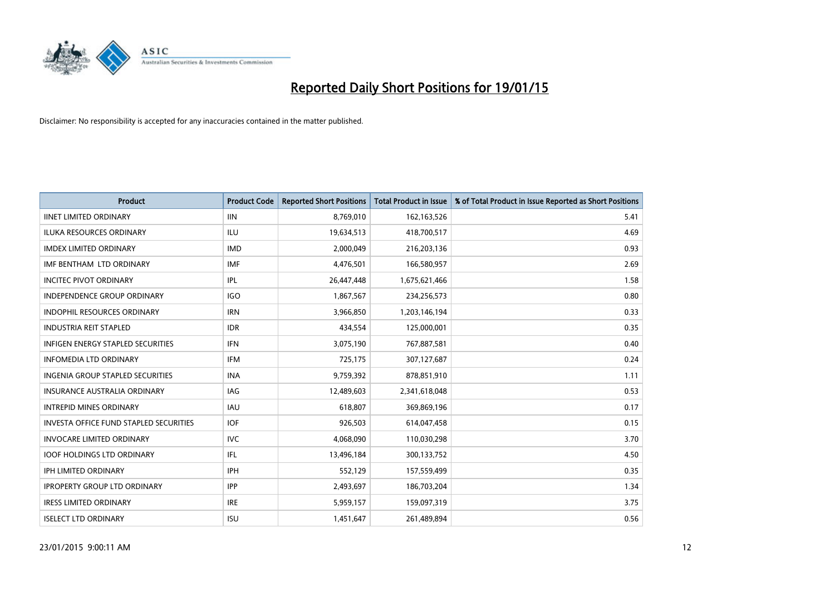

| <b>Product</b>                                | <b>Product Code</b> | <b>Reported Short Positions</b> | <b>Total Product in Issue</b> | % of Total Product in Issue Reported as Short Positions |
|-----------------------------------------------|---------------------|---------------------------------|-------------------------------|---------------------------------------------------------|
| <b>IINET LIMITED ORDINARY</b>                 | <b>IIN</b>          | 8,769,010                       | 162,163,526                   | 5.41                                                    |
| ILUKA RESOURCES ORDINARY                      | ILU                 | 19,634,513                      | 418,700,517                   | 4.69                                                    |
| <b>IMDEX LIMITED ORDINARY</b>                 | <b>IMD</b>          | 2,000,049                       | 216,203,136                   | 0.93                                                    |
| IMF BENTHAM LTD ORDINARY                      | <b>IMF</b>          | 4,476,501                       | 166,580,957                   | 2.69                                                    |
| <b>INCITEC PIVOT ORDINARY</b>                 | IPL                 | 26,447,448                      | 1,675,621,466                 | 1.58                                                    |
| INDEPENDENCE GROUP ORDINARY                   | <b>IGO</b>          | 1,867,567                       | 234,256,573                   | 0.80                                                    |
| <b>INDOPHIL RESOURCES ORDINARY</b>            | <b>IRN</b>          | 3,966,850                       | 1,203,146,194                 | 0.33                                                    |
| <b>INDUSTRIA REIT STAPLED</b>                 | <b>IDR</b>          | 434,554                         | 125,000,001                   | 0.35                                                    |
| INFIGEN ENERGY STAPLED SECURITIES             | <b>IFN</b>          | 3,075,190                       | 767,887,581                   | 0.40                                                    |
| <b>INFOMEDIA LTD ORDINARY</b>                 | <b>IFM</b>          | 725,175                         | 307,127,687                   | 0.24                                                    |
| INGENIA GROUP STAPLED SECURITIES              | <b>INA</b>          | 9,759,392                       | 878,851,910                   | 1.11                                                    |
| <b>INSURANCE AUSTRALIA ORDINARY</b>           | IAG                 | 12,489,603                      | 2,341,618,048                 | 0.53                                                    |
| <b>INTREPID MINES ORDINARY</b>                | <b>IAU</b>          | 618,807                         | 369,869,196                   | 0.17                                                    |
| <b>INVESTA OFFICE FUND STAPLED SECURITIES</b> | <b>IOF</b>          | 926,503                         | 614,047,458                   | 0.15                                                    |
| <b>INVOCARE LIMITED ORDINARY</b>              | <b>IVC</b>          | 4,068,090                       | 110,030,298                   | 3.70                                                    |
| <b>IOOF HOLDINGS LTD ORDINARY</b>             | IFL                 | 13,496,184                      | 300,133,752                   | 4.50                                                    |
| <b>IPH LIMITED ORDINARY</b>                   | <b>IPH</b>          | 552,129                         | 157,559,499                   | 0.35                                                    |
| <b>IPROPERTY GROUP LTD ORDINARY</b>           | <b>IPP</b>          | 2,493,697                       | 186,703,204                   | 1.34                                                    |
| <b>IRESS LIMITED ORDINARY</b>                 | <b>IRE</b>          | 5,959,157                       | 159,097,319                   | 3.75                                                    |
| <b>ISELECT LTD ORDINARY</b>                   | <b>ISU</b>          | 1,451,647                       | 261,489,894                   | 0.56                                                    |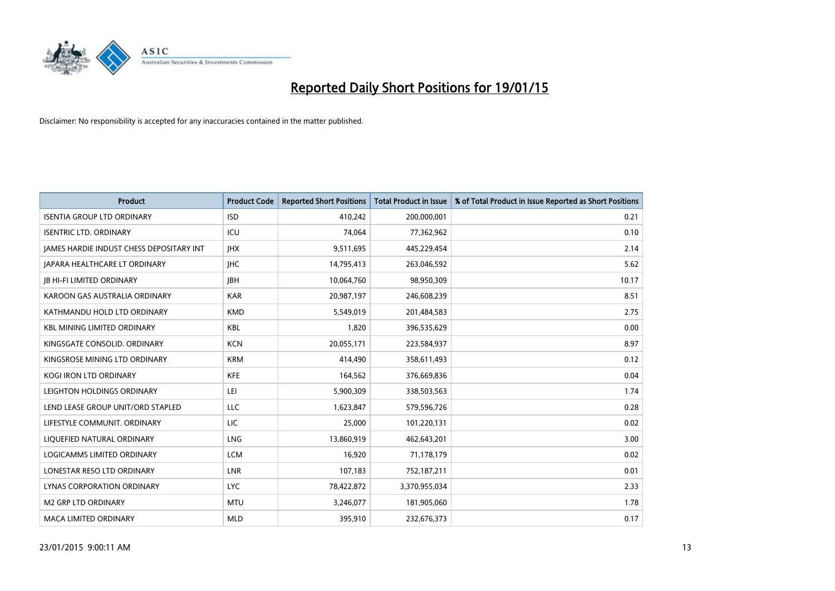

| <b>Product</b>                           | <b>Product Code</b> | <b>Reported Short Positions</b> | <b>Total Product in Issue</b> | % of Total Product in Issue Reported as Short Positions |
|------------------------------------------|---------------------|---------------------------------|-------------------------------|---------------------------------------------------------|
| <b>ISENTIA GROUP LTD ORDINARY</b>        | <b>ISD</b>          | 410,242                         | 200,000,001                   | 0.21                                                    |
| <b>ISENTRIC LTD. ORDINARY</b>            | ICU                 | 74,064                          | 77,362,962                    | 0.10                                                    |
| JAMES HARDIE INDUST CHESS DEPOSITARY INT | <b>IHX</b>          | 9,511,695                       | 445,229,454                   | 2.14                                                    |
| <b>JAPARA HEALTHCARE LT ORDINARY</b>     | <b>IHC</b>          | 14,795,413                      | 263,046,592                   | 5.62                                                    |
| <b>IB HI-FI LIMITED ORDINARY</b>         | <b>IBH</b>          | 10,064,760                      | 98,950,309                    | 10.17                                                   |
| KAROON GAS AUSTRALIA ORDINARY            | <b>KAR</b>          | 20,987,197                      | 246,608,239                   | 8.51                                                    |
| KATHMANDU HOLD LTD ORDINARY              | <b>KMD</b>          | 5,549,019                       | 201,484,583                   | 2.75                                                    |
| <b>KBL MINING LIMITED ORDINARY</b>       | <b>KBL</b>          | 1,820                           | 396,535,629                   | 0.00                                                    |
| KINGSGATE CONSOLID. ORDINARY             | <b>KCN</b>          | 20,055,171                      | 223,584,937                   | 8.97                                                    |
| KINGSROSE MINING LTD ORDINARY            | <b>KRM</b>          | 414,490                         | 358,611,493                   | 0.12                                                    |
| KOGI IRON LTD ORDINARY                   | <b>KFE</b>          | 164,562                         | 376,669,836                   | 0.04                                                    |
| LEIGHTON HOLDINGS ORDINARY               | LEI                 | 5,900,309                       | 338,503,563                   | 1.74                                                    |
| LEND LEASE GROUP UNIT/ORD STAPLED        | <b>LLC</b>          | 1,623,847                       | 579,596,726                   | 0.28                                                    |
| LIFESTYLE COMMUNIT, ORDINARY             | LIC                 | 25,000                          | 101,220,131                   | 0.02                                                    |
| LIQUEFIED NATURAL ORDINARY               | LNG                 | 13,860,919                      | 462,643,201                   | 3.00                                                    |
| <b>LOGICAMMS LIMITED ORDINARY</b>        | <b>LCM</b>          | 16,920                          | 71,178,179                    | 0.02                                                    |
| LONESTAR RESO LTD ORDINARY               | LNR                 | 107,183                         | 752,187,211                   | 0.01                                                    |
| LYNAS CORPORATION ORDINARY               | <b>LYC</b>          | 78,422,872                      | 3,370,955,034                 | 2.33                                                    |
| M2 GRP LTD ORDINARY                      | <b>MTU</b>          | 3,246,077                       | 181,905,060                   | 1.78                                                    |
| <b>MACA LIMITED ORDINARY</b>             | <b>MLD</b>          | 395,910                         | 232,676,373                   | 0.17                                                    |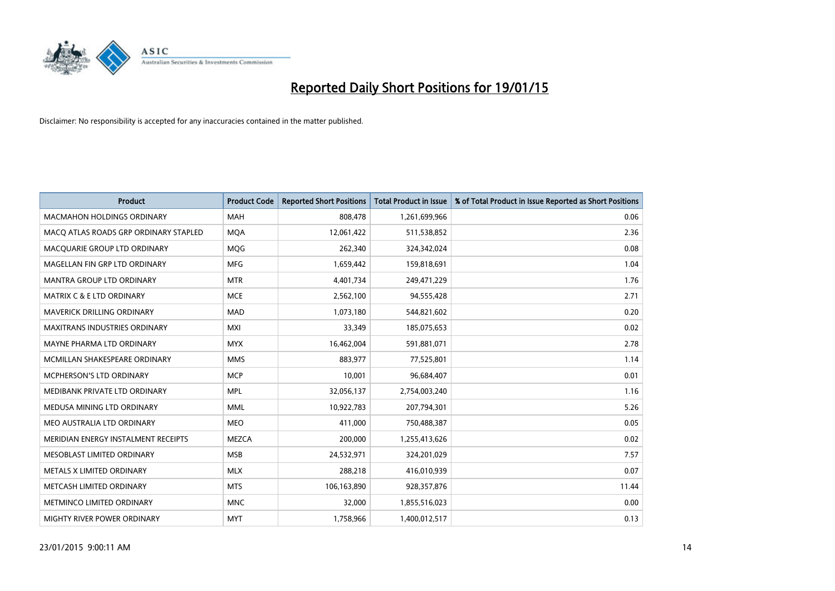

| <b>Product</b>                        | <b>Product Code</b> | <b>Reported Short Positions</b> | <b>Total Product in Issue</b> | % of Total Product in Issue Reported as Short Positions |
|---------------------------------------|---------------------|---------------------------------|-------------------------------|---------------------------------------------------------|
| <b>MACMAHON HOLDINGS ORDINARY</b>     | <b>MAH</b>          | 808,478                         | 1,261,699,966                 | 0.06                                                    |
| MACO ATLAS ROADS GRP ORDINARY STAPLED | <b>MOA</b>          | 12,061,422                      | 511,538,852                   | 2.36                                                    |
| MACQUARIE GROUP LTD ORDINARY          | <b>MOG</b>          | 262,340                         | 324,342,024                   | 0.08                                                    |
| MAGELLAN FIN GRP LTD ORDINARY         | <b>MFG</b>          | 1,659,442                       | 159,818,691                   | 1.04                                                    |
| <b>MANTRA GROUP LTD ORDINARY</b>      | <b>MTR</b>          | 4,401,734                       | 249,471,229                   | 1.76                                                    |
| <b>MATRIX C &amp; E LTD ORDINARY</b>  | <b>MCE</b>          | 2,562,100                       | 94,555,428                    | 2.71                                                    |
| <b>MAVERICK DRILLING ORDINARY</b>     | <b>MAD</b>          | 1,073,180                       | 544,821,602                   | 0.20                                                    |
| <b>MAXITRANS INDUSTRIES ORDINARY</b>  | <b>MXI</b>          | 33,349                          | 185,075,653                   | 0.02                                                    |
| MAYNE PHARMA LTD ORDINARY             | <b>MYX</b>          | 16,462,004                      | 591,881,071                   | 2.78                                                    |
| MCMILLAN SHAKESPEARE ORDINARY         | <b>MMS</b>          | 883,977                         | 77,525,801                    | 1.14                                                    |
| <b>MCPHERSON'S LTD ORDINARY</b>       | <b>MCP</b>          | 10,001                          | 96,684,407                    | 0.01                                                    |
| MEDIBANK PRIVATE LTD ORDINARY         | <b>MPL</b>          | 32,056,137                      | 2,754,003,240                 | 1.16                                                    |
| MEDUSA MINING LTD ORDINARY            | <b>MML</b>          | 10,922,783                      | 207,794,301                   | 5.26                                                    |
| MEO AUSTRALIA LTD ORDINARY            | <b>MEO</b>          | 411,000                         | 750,488,387                   | 0.05                                                    |
| MERIDIAN ENERGY INSTALMENT RECEIPTS   | <b>MEZCA</b>        | 200,000                         | 1,255,413,626                 | 0.02                                                    |
| MESOBLAST LIMITED ORDINARY            | <b>MSB</b>          | 24,532,971                      | 324,201,029                   | 7.57                                                    |
| METALS X LIMITED ORDINARY             | <b>MLX</b>          | 288,218                         | 416,010,939                   | 0.07                                                    |
| METCASH LIMITED ORDINARY              | <b>MTS</b>          | 106,163,890                     | 928,357,876                   | 11.44                                                   |
| METMINCO LIMITED ORDINARY             | <b>MNC</b>          | 32,000                          | 1,855,516,023                 | 0.00                                                    |
| MIGHTY RIVER POWER ORDINARY           | <b>MYT</b>          | 1,758,966                       | 1,400,012,517                 | 0.13                                                    |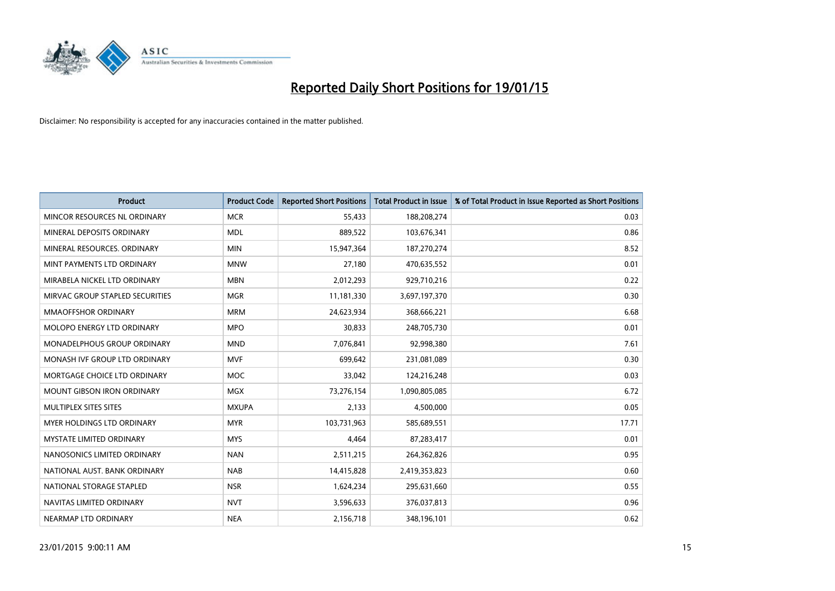

| <b>Product</b>                    | <b>Product Code</b> | <b>Reported Short Positions</b> | <b>Total Product in Issue</b> | % of Total Product in Issue Reported as Short Positions |
|-----------------------------------|---------------------|---------------------------------|-------------------------------|---------------------------------------------------------|
| MINCOR RESOURCES NL ORDINARY      | <b>MCR</b>          | 55,433                          | 188,208,274                   | 0.03                                                    |
| MINERAL DEPOSITS ORDINARY         | <b>MDL</b>          | 889,522                         | 103,676,341                   | 0.86                                                    |
| MINERAL RESOURCES. ORDINARY       | <b>MIN</b>          | 15,947,364                      | 187,270,274                   | 8.52                                                    |
| MINT PAYMENTS LTD ORDINARY        | <b>MNW</b>          | 27,180                          | 470,635,552                   | 0.01                                                    |
| MIRABELA NICKEL LTD ORDINARY      | <b>MBN</b>          | 2,012,293                       | 929,710,216                   | 0.22                                                    |
| MIRVAC GROUP STAPLED SECURITIES   | <b>MGR</b>          | 11,181,330                      | 3,697,197,370                 | 0.30                                                    |
| <b>MMAOFFSHOR ORDINARY</b>        | <b>MRM</b>          | 24,623,934                      | 368,666,221                   | 6.68                                                    |
| MOLOPO ENERGY LTD ORDINARY        | <b>MPO</b>          | 30,833                          | 248,705,730                   | 0.01                                                    |
| MONADELPHOUS GROUP ORDINARY       | <b>MND</b>          | 7,076,841                       | 92,998,380                    | 7.61                                                    |
| MONASH IVF GROUP LTD ORDINARY     | <b>MVF</b>          | 699,642                         | 231,081,089                   | 0.30                                                    |
| MORTGAGE CHOICE LTD ORDINARY      | MOC                 | 33,042                          | 124,216,248                   | 0.03                                                    |
| <b>MOUNT GIBSON IRON ORDINARY</b> | MGX                 | 73,276,154                      | 1,090,805,085                 | 6.72                                                    |
| MULTIPLEX SITES SITES             | <b>MXUPA</b>        | 2,133                           | 4,500,000                     | 0.05                                                    |
| MYER HOLDINGS LTD ORDINARY        | <b>MYR</b>          | 103,731,963                     | 585,689,551                   | 17.71                                                   |
| <b>MYSTATE LIMITED ORDINARY</b>   | <b>MYS</b>          | 4,464                           | 87,283,417                    | 0.01                                                    |
| NANOSONICS LIMITED ORDINARY       | <b>NAN</b>          | 2,511,215                       | 264,362,826                   | 0.95                                                    |
| NATIONAL AUST. BANK ORDINARY      | <b>NAB</b>          | 14,415,828                      | 2,419,353,823                 | 0.60                                                    |
| NATIONAL STORAGE STAPLED          | <b>NSR</b>          | 1,624,234                       | 295,631,660                   | 0.55                                                    |
| NAVITAS LIMITED ORDINARY          | <b>NVT</b>          | 3,596,633                       | 376,037,813                   | 0.96                                                    |
| NEARMAP LTD ORDINARY              | <b>NEA</b>          | 2,156,718                       | 348,196,101                   | 0.62                                                    |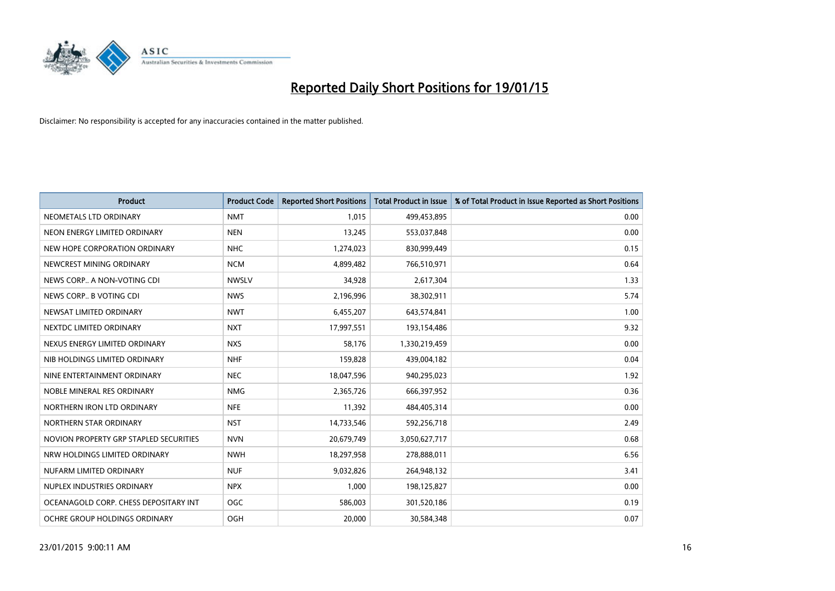

| <b>Product</b>                         | <b>Product Code</b> | <b>Reported Short Positions</b> | <b>Total Product in Issue</b> | % of Total Product in Issue Reported as Short Positions |
|----------------------------------------|---------------------|---------------------------------|-------------------------------|---------------------------------------------------------|
| NEOMETALS LTD ORDINARY                 | <b>NMT</b>          | 1,015                           | 499,453,895                   | 0.00                                                    |
| NEON ENERGY LIMITED ORDINARY           | <b>NEN</b>          | 13,245                          | 553,037,848                   | 0.00                                                    |
| NEW HOPE CORPORATION ORDINARY          | <b>NHC</b>          | 1,274,023                       | 830,999,449                   | 0.15                                                    |
| NEWCREST MINING ORDINARY               | <b>NCM</b>          | 4,899,482                       | 766,510,971                   | 0.64                                                    |
| NEWS CORP A NON-VOTING CDI             | <b>NWSLV</b>        | 34,928                          | 2,617,304                     | 1.33                                                    |
| NEWS CORP B VOTING CDI                 | <b>NWS</b>          | 2,196,996                       | 38,302,911                    | 5.74                                                    |
| NEWSAT LIMITED ORDINARY                | <b>NWT</b>          | 6,455,207                       | 643,574,841                   | 1.00                                                    |
| NEXTDC LIMITED ORDINARY                | <b>NXT</b>          | 17,997,551                      | 193,154,486                   | 9.32                                                    |
| NEXUS ENERGY LIMITED ORDINARY          | <b>NXS</b>          | 58,176                          | 1,330,219,459                 | 0.00                                                    |
| NIB HOLDINGS LIMITED ORDINARY          | <b>NHF</b>          | 159,828                         | 439,004,182                   | 0.04                                                    |
| NINE ENTERTAINMENT ORDINARY            | <b>NEC</b>          | 18,047,596                      | 940,295,023                   | 1.92                                                    |
| NOBLE MINERAL RES ORDINARY             | <b>NMG</b>          | 2,365,726                       | 666,397,952                   | 0.36                                                    |
| NORTHERN IRON LTD ORDINARY             | <b>NFE</b>          | 11,392                          | 484,405,314                   | 0.00                                                    |
| NORTHERN STAR ORDINARY                 | <b>NST</b>          | 14,733,546                      | 592,256,718                   | 2.49                                                    |
| NOVION PROPERTY GRP STAPLED SECURITIES | <b>NVN</b>          | 20,679,749                      | 3,050,627,717                 | 0.68                                                    |
| NRW HOLDINGS LIMITED ORDINARY          | <b>NWH</b>          | 18,297,958                      | 278,888,011                   | 6.56                                                    |
| NUFARM LIMITED ORDINARY                | <b>NUF</b>          | 9,032,826                       | 264,948,132                   | 3.41                                                    |
| NUPLEX INDUSTRIES ORDINARY             | <b>NPX</b>          | 1,000                           | 198,125,827                   | 0.00                                                    |
| OCEANAGOLD CORP. CHESS DEPOSITARY INT  | <b>OGC</b>          | 586,003                         | 301,520,186                   | 0.19                                                    |
| OCHRE GROUP HOLDINGS ORDINARY          | OGH                 | 20,000                          | 30,584,348                    | 0.07                                                    |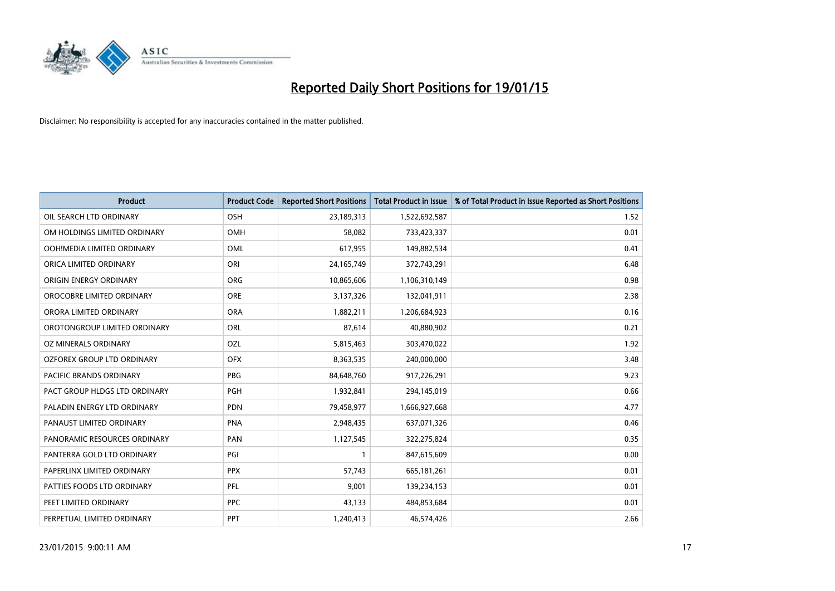

| <b>Product</b>                | <b>Product Code</b> | <b>Reported Short Positions</b> | <b>Total Product in Issue</b> | % of Total Product in Issue Reported as Short Positions |
|-------------------------------|---------------------|---------------------------------|-------------------------------|---------------------------------------------------------|
| OIL SEARCH LTD ORDINARY       | OSH                 | 23,189,313                      | 1,522,692,587                 | 1.52                                                    |
| OM HOLDINGS LIMITED ORDINARY  | OMH                 | 58,082                          | 733,423,337                   | 0.01                                                    |
| OOH!MEDIA LIMITED ORDINARY    | OML                 | 617,955                         | 149,882,534                   | 0.41                                                    |
| ORICA LIMITED ORDINARY        | ORI                 | 24, 165, 749                    | 372,743,291                   | 6.48                                                    |
| ORIGIN ENERGY ORDINARY        | <b>ORG</b>          | 10,865,606                      | 1,106,310,149                 | 0.98                                                    |
| OROCOBRE LIMITED ORDINARY     | <b>ORE</b>          | 3,137,326                       | 132,041,911                   | 2.38                                                    |
| ORORA LIMITED ORDINARY        | <b>ORA</b>          | 1,882,211                       | 1,206,684,923                 | 0.16                                                    |
| OROTONGROUP LIMITED ORDINARY  | ORL                 | 87,614                          | 40,880,902                    | 0.21                                                    |
| <b>OZ MINERALS ORDINARY</b>   | OZL                 | 5,815,463                       | 303,470,022                   | 1.92                                                    |
| OZFOREX GROUP LTD ORDINARY    | <b>OFX</b>          | 8,363,535                       | 240,000,000                   | 3.48                                                    |
| PACIFIC BRANDS ORDINARY       | <b>PBG</b>          | 84,648,760                      | 917,226,291                   | 9.23                                                    |
| PACT GROUP HLDGS LTD ORDINARY | <b>PGH</b>          | 1,932,841                       | 294,145,019                   | 0.66                                                    |
| PALADIN ENERGY LTD ORDINARY   | <b>PDN</b>          | 79,458,977                      | 1,666,927,668                 | 4.77                                                    |
| PANAUST LIMITED ORDINARY      | <b>PNA</b>          | 2,948,435                       | 637,071,326                   | 0.46                                                    |
| PANORAMIC RESOURCES ORDINARY  | PAN                 | 1,127,545                       | 322,275,824                   | 0.35                                                    |
| PANTERRA GOLD LTD ORDINARY    | PGI                 | 1                               | 847,615,609                   | 0.00                                                    |
| PAPERLINX LIMITED ORDINARY    | <b>PPX</b>          | 57,743                          | 665, 181, 261                 | 0.01                                                    |
| PATTIES FOODS LTD ORDINARY    | <b>PFL</b>          | 9,001                           | 139,234,153                   | 0.01                                                    |
| PEET LIMITED ORDINARY         | <b>PPC</b>          | 43,133                          | 484,853,684                   | 0.01                                                    |
| PERPETUAL LIMITED ORDINARY    | <b>PPT</b>          | 1,240,413                       | 46,574,426                    | 2.66                                                    |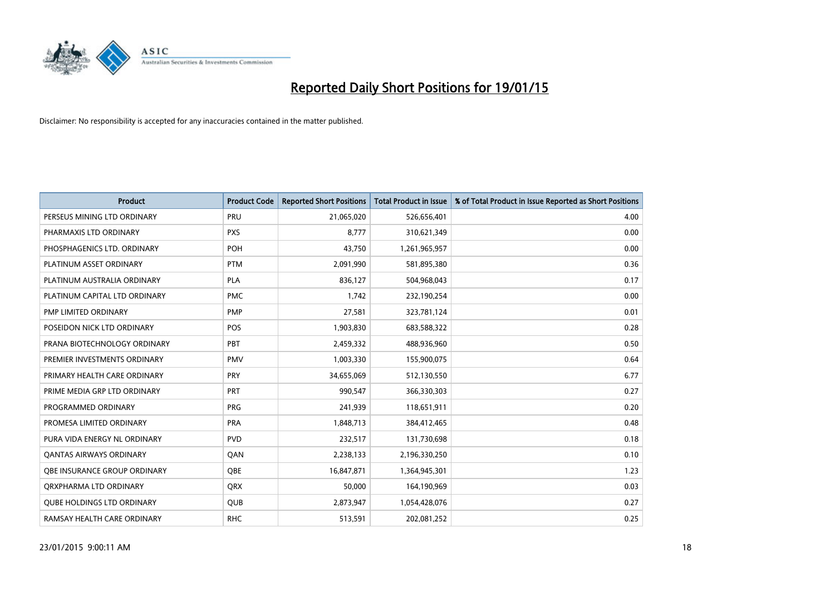

| <b>Product</b>                    | <b>Product Code</b> | <b>Reported Short Positions</b> | <b>Total Product in Issue</b> | % of Total Product in Issue Reported as Short Positions |
|-----------------------------------|---------------------|---------------------------------|-------------------------------|---------------------------------------------------------|
| PERSEUS MINING LTD ORDINARY       | PRU                 | 21,065,020                      | 526,656,401                   | 4.00                                                    |
| PHARMAXIS LTD ORDINARY            | <b>PXS</b>          | 8,777                           | 310,621,349                   | 0.00                                                    |
| PHOSPHAGENICS LTD. ORDINARY       | <b>POH</b>          | 43,750                          | 1,261,965,957                 | 0.00                                                    |
| PLATINUM ASSET ORDINARY           | <b>PTM</b>          | 2,091,990                       | 581,895,380                   | 0.36                                                    |
| PLATINUM AUSTRALIA ORDINARY       | <b>PLA</b>          | 836,127                         | 504,968,043                   | 0.17                                                    |
| PLATINUM CAPITAL LTD ORDINARY     | <b>PMC</b>          | 1,742                           | 232,190,254                   | 0.00                                                    |
| PMP LIMITED ORDINARY              | <b>PMP</b>          | 27,581                          | 323,781,124                   | 0.01                                                    |
| POSEIDON NICK LTD ORDINARY        | <b>POS</b>          | 1,903,830                       | 683,588,322                   | 0.28                                                    |
| PRANA BIOTECHNOLOGY ORDINARY      | <b>PBT</b>          | 2,459,332                       | 488,936,960                   | 0.50                                                    |
| PREMIER INVESTMENTS ORDINARY      | <b>PMV</b>          | 1,003,330                       | 155,900,075                   | 0.64                                                    |
| PRIMARY HEALTH CARE ORDINARY      | <b>PRY</b>          | 34,655,069                      | 512,130,550                   | 6.77                                                    |
| PRIME MEDIA GRP LTD ORDINARY      | <b>PRT</b>          | 990,547                         | 366,330,303                   | 0.27                                                    |
| PROGRAMMED ORDINARY               | <b>PRG</b>          | 241,939                         | 118,651,911                   | 0.20                                                    |
| PROMESA LIMITED ORDINARY          | <b>PRA</b>          | 1,848,713                       | 384,412,465                   | 0.48                                                    |
| PURA VIDA ENERGY NL ORDINARY      | <b>PVD</b>          | 232,517                         | 131,730,698                   | 0.18                                                    |
| <b>QANTAS AIRWAYS ORDINARY</b>    | QAN                 | 2,238,133                       | 2,196,330,250                 | 0.10                                                    |
| OBE INSURANCE GROUP ORDINARY      | QBE                 | 16,847,871                      | 1,364,945,301                 | 1.23                                                    |
| ORXPHARMA LTD ORDINARY            | <b>ORX</b>          | 50,000                          | 164,190,969                   | 0.03                                                    |
| <b>QUBE HOLDINGS LTD ORDINARY</b> | <b>QUB</b>          | 2,873,947                       | 1,054,428,076                 | 0.27                                                    |
| RAMSAY HEALTH CARE ORDINARY       | <b>RHC</b>          | 513,591                         | 202,081,252                   | 0.25                                                    |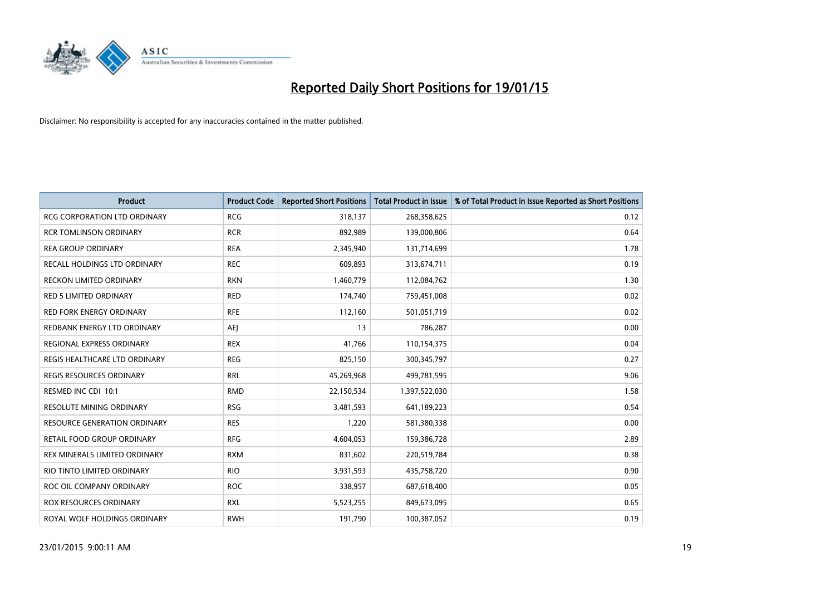

| Product                             | <b>Product Code</b> | <b>Reported Short Positions</b> | <b>Total Product in Issue</b> | % of Total Product in Issue Reported as Short Positions |
|-------------------------------------|---------------------|---------------------------------|-------------------------------|---------------------------------------------------------|
| <b>RCG CORPORATION LTD ORDINARY</b> | <b>RCG</b>          | 318,137                         | 268,358,625                   | 0.12                                                    |
| <b>RCR TOMLINSON ORDINARY</b>       | <b>RCR</b>          | 892,989                         | 139,000,806                   | 0.64                                                    |
| <b>REA GROUP ORDINARY</b>           | <b>REA</b>          | 2,345,940                       | 131,714,699                   | 1.78                                                    |
| RECALL HOLDINGS LTD ORDINARY        | <b>REC</b>          | 609,893                         | 313,674,711                   | 0.19                                                    |
| <b>RECKON LIMITED ORDINARY</b>      | <b>RKN</b>          | 1,460,779                       | 112,084,762                   | 1.30                                                    |
| <b>RED 5 LIMITED ORDINARY</b>       | <b>RED</b>          | 174,740                         | 759,451,008                   | 0.02                                                    |
| <b>RED FORK ENERGY ORDINARY</b>     | <b>RFE</b>          | 112,160                         | 501,051,719                   | 0.02                                                    |
| REDBANK ENERGY LTD ORDINARY         | <b>AEJ</b>          | 13                              | 786,287                       | 0.00                                                    |
| REGIONAL EXPRESS ORDINARY           | <b>REX</b>          | 41,766                          | 110,154,375                   | 0.04                                                    |
| REGIS HEALTHCARE LTD ORDINARY       | <b>REG</b>          | 825,150                         | 300,345,797                   | 0.27                                                    |
| REGIS RESOURCES ORDINARY            | <b>RRL</b>          | 45,269,968                      | 499,781,595                   | 9.06                                                    |
| RESMED INC CDI 10:1                 | <b>RMD</b>          | 22,150,534                      | 1,397,522,030                 | 1.58                                                    |
| <b>RESOLUTE MINING ORDINARY</b>     | <b>RSG</b>          | 3,481,593                       | 641,189,223                   | 0.54                                                    |
| <b>RESOURCE GENERATION ORDINARY</b> | <b>RES</b>          | 1,220                           | 581,380,338                   | 0.00                                                    |
| RETAIL FOOD GROUP ORDINARY          | <b>RFG</b>          | 4,604,053                       | 159,386,728                   | 2.89                                                    |
| REX MINERALS LIMITED ORDINARY       | <b>RXM</b>          | 831,602                         | 220,519,784                   | 0.38                                                    |
| RIO TINTO LIMITED ORDINARY          | <b>RIO</b>          | 3,931,593                       | 435,758,720                   | 0.90                                                    |
| ROC OIL COMPANY ORDINARY            | <b>ROC</b>          | 338,957                         | 687,618,400                   | 0.05                                                    |
| ROX RESOURCES ORDINARY              | <b>RXL</b>          | 5,523,255                       | 849,673,095                   | 0.65                                                    |
| ROYAL WOLF HOLDINGS ORDINARY        | <b>RWH</b>          | 191,790                         | 100,387,052                   | 0.19                                                    |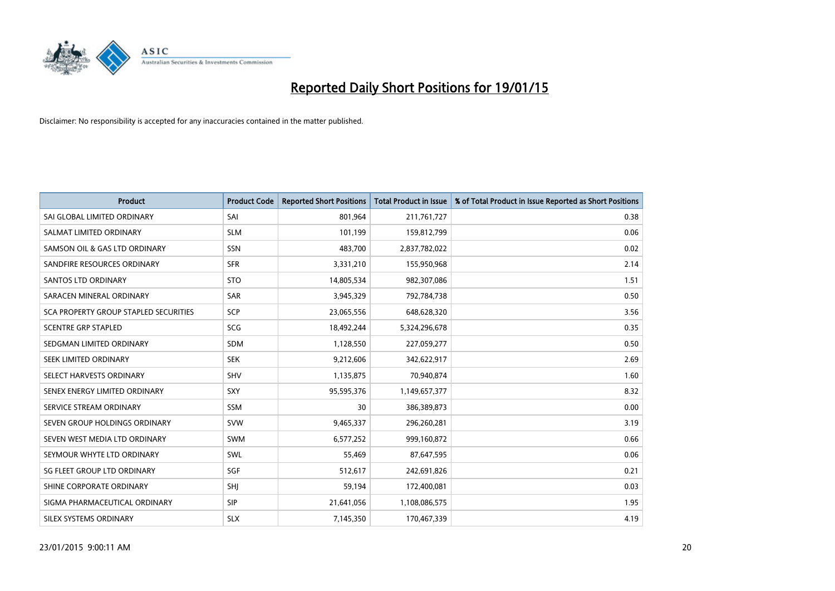

| <b>Product</b>                        | <b>Product Code</b> | <b>Reported Short Positions</b> | <b>Total Product in Issue</b> | % of Total Product in Issue Reported as Short Positions |
|---------------------------------------|---------------------|---------------------------------|-------------------------------|---------------------------------------------------------|
| SAI GLOBAL LIMITED ORDINARY           | SAI                 | 801,964                         | 211,761,727                   | 0.38                                                    |
| SALMAT LIMITED ORDINARY               | <b>SLM</b>          | 101,199                         | 159,812,799                   | 0.06                                                    |
| SAMSON OIL & GAS LTD ORDINARY         | SSN                 | 483,700                         | 2,837,782,022                 | 0.02                                                    |
| SANDFIRE RESOURCES ORDINARY           | <b>SFR</b>          | 3,331,210                       | 155,950,968                   | 2.14                                                    |
| <b>SANTOS LTD ORDINARY</b>            | <b>STO</b>          | 14,805,534                      | 982,307,086                   | 1.51                                                    |
| SARACEN MINERAL ORDINARY              | SAR                 | 3,945,329                       | 792,784,738                   | 0.50                                                    |
| SCA PROPERTY GROUP STAPLED SECURITIES | SCP                 | 23,065,556                      | 648,628,320                   | 3.56                                                    |
| <b>SCENTRE GRP STAPLED</b>            | SCG                 | 18,492,244                      | 5,324,296,678                 | 0.35                                                    |
| SEDGMAN LIMITED ORDINARY              | <b>SDM</b>          | 1,128,550                       | 227,059,277                   | 0.50                                                    |
| SEEK LIMITED ORDINARY                 | <b>SEK</b>          | 9,212,606                       | 342,622,917                   | 2.69                                                    |
| SELECT HARVESTS ORDINARY              | SHV                 | 1,135,875                       | 70,940,874                    | 1.60                                                    |
| SENEX ENERGY LIMITED ORDINARY         | <b>SXY</b>          | 95,595,376                      | 1,149,657,377                 | 8.32                                                    |
| SERVICE STREAM ORDINARY               | <b>SSM</b>          | 30                              | 386,389,873                   | 0.00                                                    |
| SEVEN GROUP HOLDINGS ORDINARY         | <b>SVW</b>          | 9,465,337                       | 296,260,281                   | 3.19                                                    |
| SEVEN WEST MEDIA LTD ORDINARY         | <b>SWM</b>          | 6,577,252                       | 999,160,872                   | 0.66                                                    |
| SEYMOUR WHYTE LTD ORDINARY            | SWL                 | 55,469                          | 87,647,595                    | 0.06                                                    |
| SG FLEET GROUP LTD ORDINARY           | SGF                 | 512,617                         | 242,691,826                   | 0.21                                                    |
| SHINE CORPORATE ORDINARY              | <b>SHI</b>          | 59,194                          | 172,400,081                   | 0.03                                                    |
| SIGMA PHARMACEUTICAL ORDINARY         | <b>SIP</b>          | 21,641,056                      | 1,108,086,575                 | 1.95                                                    |
| SILEX SYSTEMS ORDINARY                | <b>SLX</b>          | 7,145,350                       | 170,467,339                   | 4.19                                                    |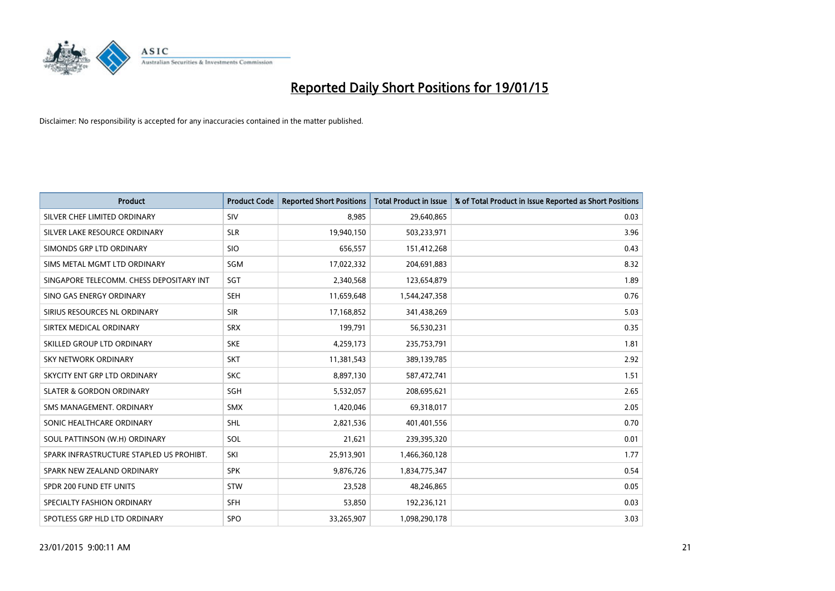

| <b>Product</b>                           | <b>Product Code</b> | <b>Reported Short Positions</b> | <b>Total Product in Issue</b> | % of Total Product in Issue Reported as Short Positions |
|------------------------------------------|---------------------|---------------------------------|-------------------------------|---------------------------------------------------------|
| SILVER CHEF LIMITED ORDINARY             | SIV                 | 8,985                           | 29,640,865                    | 0.03                                                    |
| SILVER LAKE RESOURCE ORDINARY            | <b>SLR</b>          | 19,940,150                      | 503,233,971                   | 3.96                                                    |
| SIMONDS GRP LTD ORDINARY                 | <b>SIO</b>          | 656,557                         | 151,412,268                   | 0.43                                                    |
| SIMS METAL MGMT LTD ORDINARY             | SGM                 | 17,022,332                      | 204,691,883                   | 8.32                                                    |
| SINGAPORE TELECOMM. CHESS DEPOSITARY INT | SGT                 | 2,340,568                       | 123,654,879                   | 1.89                                                    |
| SINO GAS ENERGY ORDINARY                 | <b>SEH</b>          | 11,659,648                      | 1,544,247,358                 | 0.76                                                    |
| SIRIUS RESOURCES NL ORDINARY             | <b>SIR</b>          | 17,168,852                      | 341,438,269                   | 5.03                                                    |
| SIRTEX MEDICAL ORDINARY                  | <b>SRX</b>          | 199,791                         | 56,530,231                    | 0.35                                                    |
| SKILLED GROUP LTD ORDINARY               | <b>SKE</b>          | 4,259,173                       | 235,753,791                   | 1.81                                                    |
| <b>SKY NETWORK ORDINARY</b>              | <b>SKT</b>          | 11,381,543                      | 389,139,785                   | 2.92                                                    |
| SKYCITY ENT GRP LTD ORDINARY             | <b>SKC</b>          | 8,897,130                       | 587,472,741                   | 1.51                                                    |
| <b>SLATER &amp; GORDON ORDINARY</b>      | SGH                 | 5,532,057                       | 208,695,621                   | 2.65                                                    |
| SMS MANAGEMENT, ORDINARY                 | <b>SMX</b>          | 1,420,046                       | 69,318,017                    | 2.05                                                    |
| SONIC HEALTHCARE ORDINARY                | <b>SHL</b>          | 2,821,536                       | 401,401,556                   | 0.70                                                    |
| SOUL PATTINSON (W.H) ORDINARY            | SOL                 | 21,621                          | 239,395,320                   | 0.01                                                    |
| SPARK INFRASTRUCTURE STAPLED US PROHIBT. | SKI                 | 25,913,901                      | 1,466,360,128                 | 1.77                                                    |
| SPARK NEW ZEALAND ORDINARY               | <b>SPK</b>          | 9,876,726                       | 1,834,775,347                 | 0.54                                                    |
| SPDR 200 FUND ETF UNITS                  | <b>STW</b>          | 23,528                          | 48,246,865                    | 0.05                                                    |
| SPECIALTY FASHION ORDINARY               | <b>SFH</b>          | 53,850                          | 192,236,121                   | 0.03                                                    |
| SPOTLESS GRP HLD LTD ORDINARY            | <b>SPO</b>          | 33,265,907                      | 1,098,290,178                 | 3.03                                                    |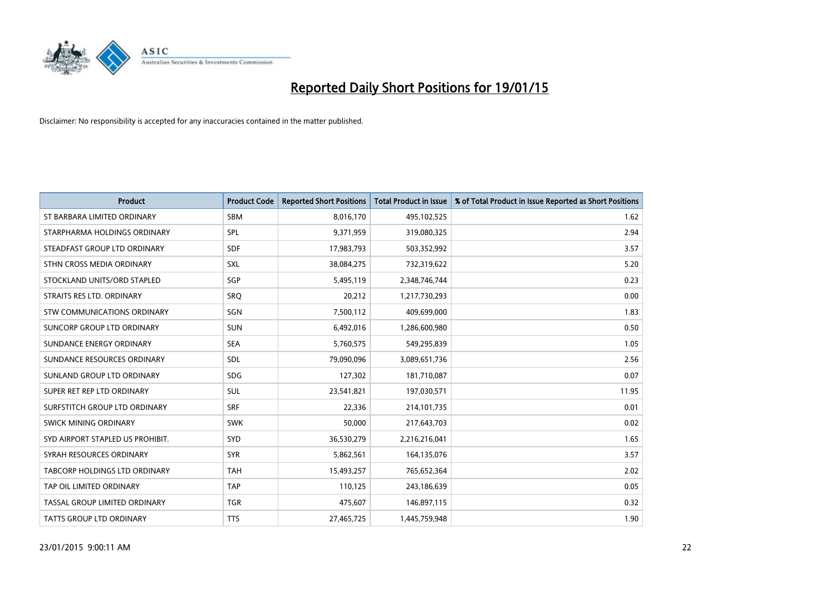

| Product                              | <b>Product Code</b> | <b>Reported Short Positions</b> | <b>Total Product in Issue</b> | % of Total Product in Issue Reported as Short Positions |
|--------------------------------------|---------------------|---------------------------------|-------------------------------|---------------------------------------------------------|
| ST BARBARA LIMITED ORDINARY          | <b>SBM</b>          | 8,016,170                       | 495,102,525                   | 1.62                                                    |
| STARPHARMA HOLDINGS ORDINARY         | SPL                 | 9,371,959                       | 319,080,325                   | 2.94                                                    |
| STEADFAST GROUP LTD ORDINARY         | <b>SDF</b>          | 17,983,793                      | 503,352,992                   | 3.57                                                    |
| STHN CROSS MEDIA ORDINARY            | SXL                 | 38,084,275                      | 732,319,622                   | 5.20                                                    |
| STOCKLAND UNITS/ORD STAPLED          | SGP                 | 5,495,119                       | 2,348,746,744                 | 0.23                                                    |
| STRAITS RES LTD. ORDINARY            | <b>SRQ</b>          | 20,212                          | 1,217,730,293                 | 0.00                                                    |
| STW COMMUNICATIONS ORDINARY          | SGN                 | 7,500,112                       | 409,699,000                   | 1.83                                                    |
| SUNCORP GROUP LTD ORDINARY           | <b>SUN</b>          | 6,492,016                       | 1,286,600,980                 | 0.50                                                    |
| SUNDANCE ENERGY ORDINARY             | <b>SEA</b>          | 5,760,575                       | 549,295,839                   | 1.05                                                    |
| SUNDANCE RESOURCES ORDINARY          | SDL                 | 79,090,096                      | 3,089,651,736                 | 2.56                                                    |
| SUNLAND GROUP LTD ORDINARY           | <b>SDG</b>          | 127,302                         | 181,710,087                   | 0.07                                                    |
| SUPER RET REP LTD ORDINARY           | SUL                 | 23,541,821                      | 197,030,571                   | 11.95                                                   |
| SURFSTITCH GROUP LTD ORDINARY        | <b>SRF</b>          | 22,336                          | 214,101,735                   | 0.01                                                    |
| SWICK MINING ORDINARY                | <b>SWK</b>          | 50,000                          | 217,643,703                   | 0.02                                                    |
| SYD AIRPORT STAPLED US PROHIBIT.     | <b>SYD</b>          | 36,530,279                      | 2,216,216,041                 | 1.65                                                    |
| SYRAH RESOURCES ORDINARY             | <b>SYR</b>          | 5,862,561                       | 164,135,076                   | 3.57                                                    |
| <b>TABCORP HOLDINGS LTD ORDINARY</b> | <b>TAH</b>          | 15,493,257                      | 765,652,364                   | 2.02                                                    |
| TAP OIL LIMITED ORDINARY             | <b>TAP</b>          | 110,125                         | 243,186,639                   | 0.05                                                    |
| TASSAL GROUP LIMITED ORDINARY        | <b>TGR</b>          | 475,607                         | 146,897,115                   | 0.32                                                    |
| <b>TATTS GROUP LTD ORDINARY</b>      | <b>TTS</b>          | 27,465,725                      | 1,445,759,948                 | 1.90                                                    |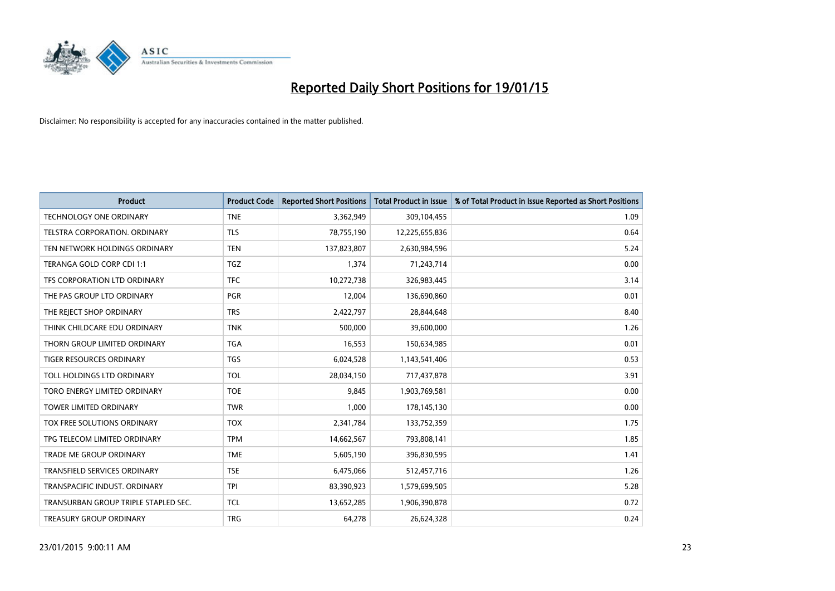

| <b>Product</b>                       | <b>Product Code</b> | <b>Reported Short Positions</b> | <b>Total Product in Issue</b> | % of Total Product in Issue Reported as Short Positions |
|--------------------------------------|---------------------|---------------------------------|-------------------------------|---------------------------------------------------------|
| <b>TECHNOLOGY ONE ORDINARY</b>       | <b>TNE</b>          | 3,362,949                       | 309,104,455                   | 1.09                                                    |
| TELSTRA CORPORATION. ORDINARY        | <b>TLS</b>          | 78,755,190                      | 12,225,655,836                | 0.64                                                    |
| TEN NETWORK HOLDINGS ORDINARY        | <b>TEN</b>          | 137,823,807                     | 2,630,984,596                 | 5.24                                                    |
| TERANGA GOLD CORP CDI 1:1            | <b>TGZ</b>          | 1,374                           | 71,243,714                    | 0.00                                                    |
| TFS CORPORATION LTD ORDINARY         | <b>TFC</b>          | 10,272,738                      | 326,983,445                   | 3.14                                                    |
| THE PAS GROUP LTD ORDINARY           | <b>PGR</b>          | 12,004                          | 136,690,860                   | 0.01                                                    |
| THE REJECT SHOP ORDINARY             | <b>TRS</b>          | 2,422,797                       | 28,844,648                    | 8.40                                                    |
| THINK CHILDCARE EDU ORDINARY         | <b>TNK</b>          | 500,000                         | 39,600,000                    | 1.26                                                    |
| THORN GROUP LIMITED ORDINARY         | <b>TGA</b>          | 16,553                          | 150,634,985                   | 0.01                                                    |
| <b>TIGER RESOURCES ORDINARY</b>      | <b>TGS</b>          | 6,024,528                       | 1,143,541,406                 | 0.53                                                    |
| TOLL HOLDINGS LTD ORDINARY           | <b>TOL</b>          | 28,034,150                      | 717,437,878                   | 3.91                                                    |
| TORO ENERGY LIMITED ORDINARY         | <b>TOE</b>          | 9,845                           | 1,903,769,581                 | 0.00                                                    |
| <b>TOWER LIMITED ORDINARY</b>        | <b>TWR</b>          | 1,000                           | 178,145,130                   | 0.00                                                    |
| TOX FREE SOLUTIONS ORDINARY          | <b>TOX</b>          | 2,341,784                       | 133,752,359                   | 1.75                                                    |
| TPG TELECOM LIMITED ORDINARY         | <b>TPM</b>          | 14,662,567                      | 793,808,141                   | 1.85                                                    |
| TRADE ME GROUP ORDINARY              | <b>TME</b>          | 5,605,190                       | 396,830,595                   | 1.41                                                    |
| TRANSFIELD SERVICES ORDINARY         | <b>TSE</b>          | 6,475,066                       | 512,457,716                   | 1.26                                                    |
| TRANSPACIFIC INDUST, ORDINARY        | <b>TPI</b>          | 83,390,923                      | 1,579,699,505                 | 5.28                                                    |
| TRANSURBAN GROUP TRIPLE STAPLED SEC. | <b>TCL</b>          | 13,652,285                      | 1,906,390,878                 | 0.72                                                    |
| TREASURY GROUP ORDINARY              | <b>TRG</b>          | 64,278                          | 26,624,328                    | 0.24                                                    |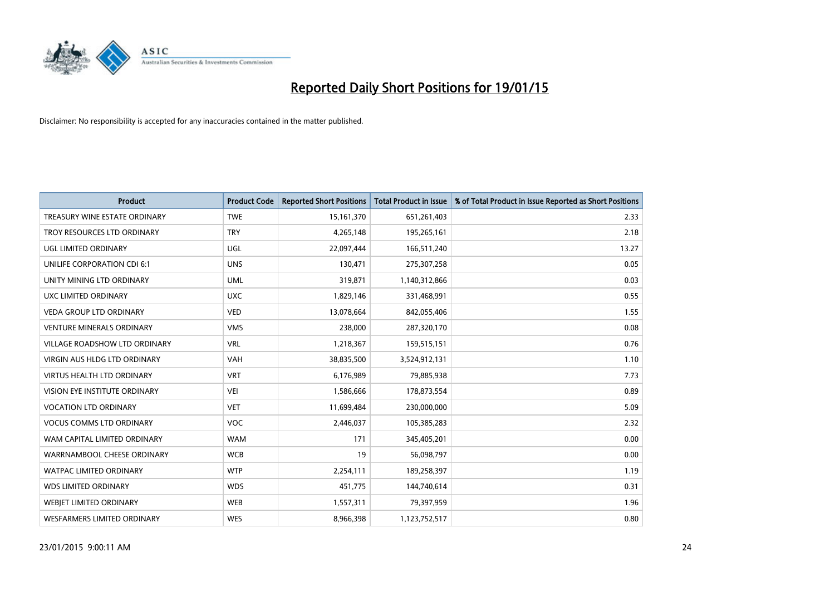

| <b>Product</b>                    | <b>Product Code</b> | <b>Reported Short Positions</b> | <b>Total Product in Issue</b> | % of Total Product in Issue Reported as Short Positions |
|-----------------------------------|---------------------|---------------------------------|-------------------------------|---------------------------------------------------------|
| TREASURY WINE ESTATE ORDINARY     | <b>TWE</b>          | 15,161,370                      | 651,261,403                   | 2.33                                                    |
| TROY RESOURCES LTD ORDINARY       | <b>TRY</b>          | 4,265,148                       | 195,265,161                   | 2.18                                                    |
| UGL LIMITED ORDINARY              | UGL                 | 22,097,444                      | 166,511,240                   | 13.27                                                   |
| UNILIFE CORPORATION CDI 6:1       | <b>UNS</b>          | 130,471                         | 275,307,258                   | 0.05                                                    |
| UNITY MINING LTD ORDINARY         | <b>UML</b>          | 319,871                         | 1,140,312,866                 | 0.03                                                    |
| UXC LIMITED ORDINARY              | <b>UXC</b>          | 1,829,146                       | 331,468,991                   | 0.55                                                    |
| <b>VEDA GROUP LTD ORDINARY</b>    | <b>VED</b>          | 13,078,664                      | 842,055,406                   | 1.55                                                    |
| <b>VENTURE MINERALS ORDINARY</b>  | <b>VMS</b>          | 238,000                         | 287,320,170                   | 0.08                                                    |
| VILLAGE ROADSHOW LTD ORDINARY     | <b>VRL</b>          | 1,218,367                       | 159,515,151                   | 0.76                                                    |
| VIRGIN AUS HLDG LTD ORDINARY      | <b>VAH</b>          | 38,835,500                      | 3,524,912,131                 | 1.10                                                    |
| <b>VIRTUS HEALTH LTD ORDINARY</b> | <b>VRT</b>          | 6,176,989                       | 79,885,938                    | 7.73                                                    |
| VISION EYE INSTITUTE ORDINARY     | <b>VEI</b>          | 1,586,666                       | 178,873,554                   | 0.89                                                    |
| <b>VOCATION LTD ORDINARY</b>      | <b>VET</b>          | 11,699,484                      | 230,000,000                   | 5.09                                                    |
| <b>VOCUS COMMS LTD ORDINARY</b>   | <b>VOC</b>          | 2,446,037                       | 105,385,283                   | 2.32                                                    |
| WAM CAPITAL LIMITED ORDINARY      | <b>WAM</b>          | 171                             | 345,405,201                   | 0.00                                                    |
| WARRNAMBOOL CHEESE ORDINARY       | <b>WCB</b>          | 19                              | 56,098,797                    | 0.00                                                    |
| WATPAC LIMITED ORDINARY           | <b>WTP</b>          | 2,254,111                       | 189,258,397                   | 1.19                                                    |
| <b>WDS LIMITED ORDINARY</b>       | <b>WDS</b>          | 451,775                         | 144,740,614                   | 0.31                                                    |
| WEBJET LIMITED ORDINARY           | <b>WEB</b>          | 1,557,311                       | 79,397,959                    | 1.96                                                    |
| WESFARMERS LIMITED ORDINARY       | <b>WES</b>          | 8,966,398                       | 1,123,752,517                 | 0.80                                                    |